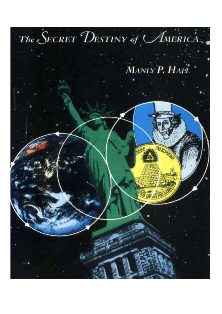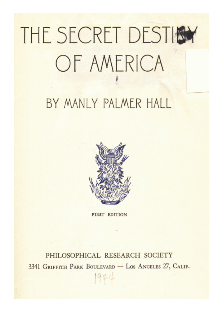# THE SECRET DESTINY OF AMERICA

# BY MANLY PALMER HALL



**FIRST EDITION** 

PHILOSOPHICAL RESEARCH SOCIETY 3341 GRIFFITH PARK BOULEVARD - LOS ANGELES 27, CALIF.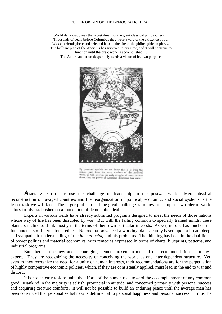#### 1. THE ORIGIN OF THE DEMOCRATIC IDEAL

World democracy was the secret dream of the great classical philosophers. ... Thousands of years before Columbus they were aware of the existence of our Western Hemisphere and selected it to be the site of the philosophic empire. ... The brilliant plan of the Ancients has survived to our time, and it will continue to function until the great work is accomplished. ...

The American nation desperately needs a vision of its own purpose.



By preserved symbols we can know that it is from the remote past, from the deep shadows of the medieval world, as well as from the early struggles of more modern times, that the power of American democracy has come

**A**MERICA can not refuse the challenge of leadership in the postwar world. Mere physical reconstruction of ravaged countries and the reorganization of political, economic, and social systems is the lesser task we will face. The larger problem and the great challenge is in how to set up a new order of world ethics firmly established on a foundation of democratic idealism.

Experts in various fields have already submitted programs designed to meet the needs of those nations whose way of life has been disrupted by war. But with the failing common to specially trained minds, these planners incline to think mostly in the terms of their own particular interests. As yet, no one has touched the fundamentals of international ethics. No one has advanced a working plan securely based upon a broad, deep, and sympathetic understanding of the *human being* and his problems. The thinking has been in the dual fields of power politics and material economics, with remedies expressed in terms of charts, blueprints, patterns, and industrial programs.

But, there is one new and encouraging element present in most of the recommendations of today's experts. They are recognizing the necessity of conceiving the world as one inter-dependent structure. Yet, even as they recognize the need for a unity of human interests, their recommendations are for the perpetuation of highly competitive economic policies, which, if they are consistently applied, must lead in the end to war and discord.

It is not an easy task to unite the efforts of the human race toward the accomplishment of any common good. Mankind in the majority is selfish, provincial in attitude, and concerned primarily with personal success and acquiring creature comforts. It will not be possible to build an enduring peace until the average man has been convinced that personal selfishness is detrimental to personal happiness and personal success. It must be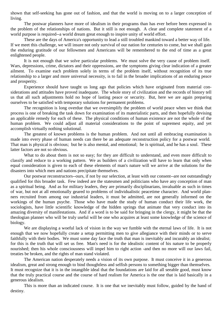shown that self-seeking has gone out of fashion, and that the world is moving on to a larger conception of living.

The postwar planners have more of idealism in their programs than has ever before been expressed in the problem of the relationships of nations. But it still is not enough. A clear and complete statement of a world purpose is required--a world dream great enough to inspire unity of world effort.

These are the days of America's opportunity to lead a still troubled mankind toward a better way of life. If we meet this challenge, we will insure not only survival of our nation for centuries to come, but we shall gain the enduring gratitude of our fellowmen and Americans will be remembered to the end of time as a great enlightened people.

It is not enough that we solve particular problems. We must solve the very cause of problem itself. Wars, depressions, crime, dictators and their oppressions, are the symptoms giving clear indication of a greater ailment. To examine each problem solely in terms of the problem itself, without recognition of its true relationship to a larger and more universal necessity, is to fail in the broader implications of an enduring peace and prosperity.

Experience should have taught us long ago that policies which have originated from material considerations and attitudes have proved inadequate. The whole story of civilization and the records of history tell us that all such adjustments hold no hope of lasting peace or security. But, here we are again preparing ourselves to be satisfied with temporary solutions for permanent problems.

The recognition is long overdue that we oversimplify the problem of world peace when we think that process is one of breaking the task down for examination of its materialistic parts, and then hopefully devising an applicable remedy for each of these. The physical conditions of human existence are not the whole of the human problem. We could adjust all material considerations to the point of supremest equity, and yet accomplish virtually nothing solutional.

The greatest of known problems is the human problem. And not until all embracing examination is made into every phase of human needs can there be an adequate reconstruction policy for a postwar world. That man is physical is obvious; but he is also mental, and emotional; he is spiritual, and he has a soul. These latter factors are not so obvious.

What to do about them is not so easy; for they are difficult to understand, and even more difficult to classify and reduce to a working pattern. We as builders of a civilization will have to learn that only when equal consideration is given to each of these elements of man's nature will we arrive at the solutions for the disasters into which men and nations precipitate themselves.

Our postwar reconstructors--ours, if not by our selection, at least with our consent--are not outstandingly qualified for this broader task. Few indeed are the statesmen and politicians who have any conception of man as a spiritual being. And as for military leaders, they are primarily disciplinarians, invaluable as such in times of war, but not at all emotionally geared to problems of individualistic peacetime character. And world planners recruited from among our industrial leaders, it must be admitted, are not generally informed on the workings of the human psyche. Those who have made the study of human conduct their life work, the sociologists, have little scientific knowledge of the hidden springs that animate that very conduct into its amazing diversity of manifestations. And if a word is to be said for bringing in the clergy, it might be that the theologian planner who will be truly useful will be one who acquires at least some knowledge of the science of biology.

We are displaying a woeful lack of vision in the way we fumble with the eternal laws of life. It is not enough that we now hopefully create a setup permitting men to give allegiance with their minds or to serve faithfully with their bodies. We must some day face the truth that man is inevitably and incurably an idealist; for this is the truth that will set us free. Man's need is for the idealistic content of his nature to be properly nourished; then his whole consciousness will impel him to right action -and then no more will our laws fail, treaties be broken, and the rights of man stand violated.

The American nation desperately needs a vision of its own purpose. It must conceive it in a generous idealism, great and strong enough to bind thoughtless and selfish persons to something bigger than themselves. It must recognize that it is in the intangible ideal that the foundations are laid for all seeable good, must know that the truly practical course and the course of hard realism for America is the one that is laid basically in a generous idealism.

This is more than an indicated course. It is one that we inevitably must follow, guided by the hand of destiny.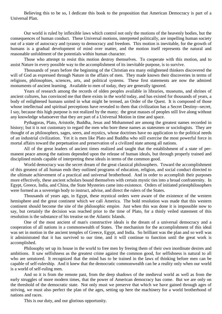Believing this to be so, I dedicate this book to the proposition that American Democracy is part of a Universal Plan.

Our world is ruled by inflexible laws which control not only the motions of the heavenly bodies, but the consequences of human conduct. These Universal motions, interpreted politically, are impelling human society out of a state of autocracy and tyranny to democracy and freedom. This motion is inevitable, for the growth of humans is a gradual development of mind over matter, and the motion itself represents the natural and reasonable unfoldment of the potentials within human character.

Those who attempt to resist this motion destroy themselves. To cooperate with this motion, and to assist Nature in every possible way to the accomplishment of its inevitable purpose, is to survive.

Thousands of years before the beginning of the Christian era many enlightened thinkers discovered the will of God as expressed through Nature in the affairs of men. They made known their discoveries in terms of religions, philosophies, sciences, arts, and political systems. These first statements are now the admired monuments of ancient learning. Available to men of today, they are generally ignored.

Years of research among the records of olden peoples available in libraries, museums, and shrines of ancient cultures, has convinced me that there exists in the world today, and has existed for thousands of years, a body of enlightened humans united in what might be termed, an Order of the Quest. It is composed of those whose intellectual and spiritual perceptions have revealed to them that civilization has a Secret Destiny--secret, I say, because this high purpose is not realized by the many; the great masses of peoples still live along without any knowledge whatsoever that they are part of a Universal Motion in time and space.

Pythagoras, Plato, Aristotle, Buddha, Jesus and Mohammed are among the greatest names recorded in history; but it is not customary to regard the men who bore these names as statesmen or sociologists. They are thought of as philosophers, sages, seers, and mystics, whose doctrines have no application to the political needs of an industrial civilization. Yet it is men like Plato and Buddha who still exercise the most powerful force in mortal affairs toward the perpetuation and preservation of a civilized state among all nations.

All of the great leaders of ancient times realized and taught that the establishment of a state of permanent peace among the nations depended upon the release of human ideals, but through properly trained and disciplined minds capable of interpreting these ideals in terms of the common good.

World democracy was the secret dream of the great classical philosophers. Toward the accomplishment of this greatest of all human ends they outlined programs of education, religion, and social conduct directed to the ultimate achievement of a practical and universal brotherhood. And in order to accomplish their purposes more effectively, these ancient scholars bound themselves with certain mystic ties into a broad confraternity. In Egypt, Greece, India, and China, the State Mysteries came into existence. Orders of initiated priestphilosophers were formed as a sovereign body to instruct, advise, and direct the rulers of the States.

Thousands of years ago, in Egypt, these mystical orders were aware of the existence of the western hemisphere and the great continent which we call America. The bold resolution was made that this western continent should become the site of the philosophic empire. Just when this was done it is impossible now to say, but certainly the decision was reached prior to the time of Plato, for a thinly veiled statement of this resolution is the substance of his treatise on the Atlantic Islands.

One of the most ancient of man's constructive ideals is the dream of a universal democracy and a cooperation of all nations in a commonwealth of States. The mechanism for the accomplishment of this ideal was set in motion in the ancient temples of Greece, Egypt, and India. So brilliant was the plan and so well was it administrated that it has survived to our time, and it will continue to function until the great work is accomplished.

Philosophy set up its house in the world to free men by freeing them of their own inordinate desires and ambitions. It saw selfishness as the greatest crime against the common good, for selfishness is natural to all who are untutored. It recognized that the mind has to be trained in the laws of thinking before men can be capable of self-rulership. And it knew that the democratic commonwealth can be a reality only when our world is a world of self-ruling men.

And so it is from the remote past, from the deep shadows of the medieval world as well as from the early struggles of more modern times, that the power of American democracy has come. But we are only on the threshold of the democratic state. Not only must we preserve that which we have gained through ages of striving, we must also perfect the plan of the ages, setting up here the machinery for a world brotherhood of nations and races.

This is our duty, and our glorious opportunity.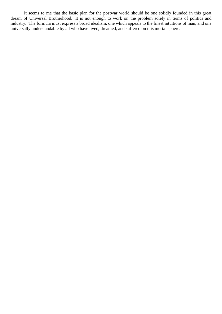It seems to me that the basic plan for the postwar world should be one solidly founded in this great dream of Universal Brotherhood. It is not enough to work on the problem solely in terms of politics and industry. The formula must express a broad idealism, one which appeals to the finest intuitions of man, and one universally understandable by all who have lived, dreamed, and suffered on this mortal sphere.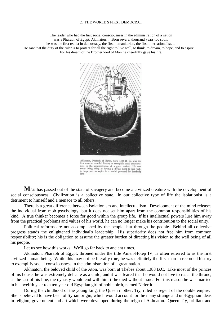#### 2. THE WORLD'S FIRST DEMOCRAT

The leader who had the first social consciousness in the administration of a nation was a Pharaoh of Egypt, Akhnaton. ... Born several thousand years too soon, he was the first realist in democracy, the first humanitarian, the first internationalist. ... He saw that the duty of the ruler is to protect for all the right to live well, to think, to dream, to hope, and to aspire. ... For his dream of the Brotherhood of Man he cheerfully gave his life.



Akhnaton, Pharaoh of Egypt, born 1388 B. C., was the Akhnaton, Pharaoh of Egypt, born 1388 B. C., was the first man in recorded history to exemplify social conscious-<br>ness in the administration of a great nation. He saw<br>every living thing as having a divine right to live wel love

M<sub>AN</sub> has passed out of the state of savagery and become a civilized creature with the development of social consciousness. Civilization is a collective state. In our collective type of life the isolationist is a detriment to himself and a menace to all others.

There is a great difference between isolationism and intellectualism. Development of the mind releases the individual from mob psychology, but it does not set him apart from the common responsibilities of his kind. A true thinker becomes a force for good within the group life. If his intellectual powers lure him away from the practical problems and values of his world, he can no longer make his contribution to the social unity.

Political reforms are not accomplished by the people, but through the people. Behind all collective progress stands the enlightened individual's leadership. His superiority does not free him from common responsibility; his is the obligation to assume the greater burden of directing his vision to the well being of all his people.

Let us see how this works. We'll go far back to ancient times.

Akhnaton, Pharaoh of Egypt, throned under the title Amen-Hotep IV, is often referred to as the first civilized human being. While this may not be literally true, he was definitely the first man in recorded history to exemplify social consciousness in the administration of a great nation.

Akhnaton, the beloved child of the Aton, was born at Thebes about 1388 B.C. Like most of the princes of his house, he was extremely delicate as a child, and it was feared that he would not live to reach the throne; as the last of his line, the dynasty would end with him if he died without issue. For this reason he was married in his twelfth year to a ten year old Egyptian girl of noble birth, named Nefertiti.

During the childhood of the young king, the Queen mother, Tiy, ruled as regent of the double empire. She is believed to have been of Syrian origin, which would account for the many strange and un-Egyptian ideas in religion, government and art which were developed during the reign of Akhnaton. Queen Tiy, brilliant and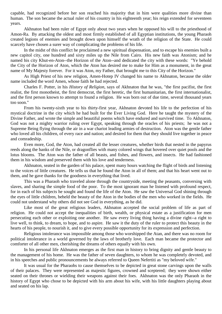capable, had recognized before her son reached his majority that in him were qualities more divine than human. The son became the actual ruler of his country in his eighteenth year; his reign extended for seventeen years.

Akhnaton had been ruler of Egypt only about two years when he opposed his will to the priesthood of Amon-Ra. By attacking the oldest and most firmly established of all Egyptian institutions, the young Pharaoh created legions of enemies and brought down upon himself the wrath of the religion of the State. He could scarcely have chosen a surer way of complicating the problems of his life.

In the midst of this conflict he proclaimed a new spiritual dispensation, and to escape his enemies built a new capitol city, one hundred and sixty miles up the Nile from Cairo. His new faith was Atonism; and he named his city Khut-en-Aton--the Horizon of the Aton--and dedicated the city with these words: "Ye behold the City of the Horizon of Aton, which the Aton has desired me to make for Him as a monument, in the great name of My Majesty forever. For it was Aton, my Father, that brought me to this City of the Horizon."

As High Priest of his new religion, Amen-Hotep IV changed his name to Akhnaton, because the older name included the word Amen, whose faith he had rejected.

Charles F. Potter, in his *History of Religion*, says of Akhnaton that he was, "the first pacifist, the first realist, the first monotheist, the first democrat, the first heretic, the first humanitarian, the first internationalist, and the first person known to attempt to found a religion. He was born out of due time, several thousand years too soon."

From his twenty-sixth year to his thirty-first year, Akhnaton devoted his life to the perfection of his mystical doctrine in the city which he had built for the Ever Living God. Here he taught the mystery of the Divine Father, and wrote the simple and beautiful poems which have endured and survived time. To Akhnaton, God was not a mighty warrior ruling over Egypt, speaking through the oracles of his priests; he was not a Supreme Being flying through the air in a war chariot leading armies of destruction. Aton was the gentle father who loved all his children, of every race and nation; and desired for them that they should live together in peace and comradeship.

Even more, God, the Aton, had created all the lesser creatures, whether birds that nested in the papyrus reeds along the banks of the Nile, or dragonflies with many colored wings that hovered over quiet pools and the lotus blooms. The Aton was the father of all beasts, and fishes, and flowers, and insects. He had fashioned them in his wisdom and preserved them with his love and tenderness.

Akhnaton, seated in the garden of his palace, spent many hours watching the flight of birds and listening to the voices of little creatures. He tells us that he found the Aton in all of them; and that his heart went out to them, and he gave thanks for the goodness in everything that lived.

This was a Pharaoh who traveled alone through the countryside, meeting the peasants, conversing with slaves, and sharing the simple food of the poor. To the most ignorant man he listened with profound respect, for in each of his subjects he sought and found the life of the Aton. He saw the Universal God shining through the eyes of little children, beheld the beauty of the Aton in the bodies of the men who worked in the fields. He could not understand why others did not see God in everything, as he did.

Like most of the great religious leaders, Akhnaton accepted the social problem of life as part of religion. He could not accept the inequalities of birth, wealth, or physical estate as a justification for men persecuting each other or exploiting one another. He saw every living thing having a divine right--a right to live well, to think, to dream, to hope, and to aspire. He saw it the duty of the ruler to protect this beauty in the hearts of his people, to nourish it, and to give every possible opportunity for its expression and perfection.

Religious intolerance was impossible among those who worshipped the Atan, and there was no room for political intolerance in a world governed by the laws of brotherly love. Each man became the protector and comforter of all other men, cherishing the dreams of others equally with his own.

In his personal life Akhnaton emerges as the first man in history to bring dignity and gentle beauty to the management of his home. He was the father of seven daughters, to whom he was completely devoted, and in his speeches and public pronouncements he always referred to Queen Nefertiti as "my beloved wife."

It was usual for the Pharaohs to cause themselves to be depicted in great stone carvings upon the walls of their palaces. They were represented as majestic figures, crowned and sceptered; they were shown either seated on their thrones or wielding their weapons against their foes. Akhnaton was the only Pharaoh in the history of Egypt who chose to be depicted with his arm about his wife, with his little daughters playing about and seated on his lap.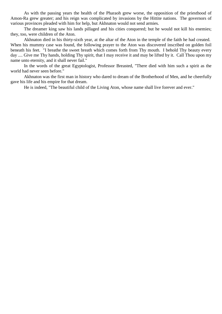As with the passing years the health of the Pharaoh grew worse, the opposition of the priesthood of Amon-Ra grew greater; and his reign was complicated by invasions by the Hittite nations. The governors of various provinces pleaded with him for help, but Akhnaton would not send armies.

The dreamer king saw his lands pillaged and his cities conquered; but he would not kill his enemies; they, too, were children of the Aton.

Akhnaton died in his thirty-sixth year, at the altar of the Aton in the temple of the faith he had created. When his mummy case was found, the following prayer to the Aton was discovered inscribed on golden foil beneath his feet. "I breathe the sweet breath which comes forth from Thy mouth. I behold Thy beauty every day .... Give me Thy hands, holding Thy spirit, that I may receive it and may be lifted by it. Call Thou upon my name unto eternity, and it shall never fail."

In the words of the great Egyptologist, Professor Breasted, "There died with him such a spirit as the world had never seen before."

Akhnaton was the first man in history who dared to dream of the Brotherhood of Men, and he cheerfully gave his life and his empire for that dream.

He is indeed, "The beautiful child of the Living Aton, whose name shall live forever and ever."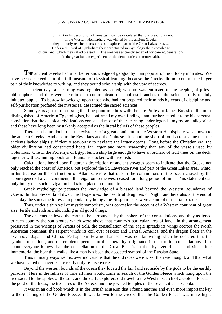# 3 WESTWARD OCEAN TRAVEL TO THE EARTHLY PARADISE

From Plutarch's description of voyages it can be calculated that our great continent in the Western Hemisphere was visited by the ancient Greeks; they not only reached our shores but explored part of the Great Lakes area. ... Under a thin veil of symbolism they perpetuated in mythology their knowledge of our land, which they called blessed .... The area was anciently set apart for coming generations in the great human experiment of the democratic commonwealth.

THE ancient Greeks had a far better knowledge of geography than popular opinion today indicates. We have been deceived as to the full measure of classical learning, because the Greeks did not commit the larger part of their knowledge to writing, and they bound scholarship with the vow of secrecy.

In ancient days all learning was regarded as sacred; wisdom was entrusted to the keeping of priestphilosophers; and they were permitted to communicate the choicest branches of the sciences only to duly initiated pupils. To bestow knowledge upon those who had not prepared their minds by years of discipline and self-purification profaned the mysteries, desecrated the sacred sciences.

Some years ago, in discussing this fine point in ethics with the late Professor James Breasted, the most distinguished of American Egyptologists, he confirmed my own findings; and further stated it to be his personal conviction that the classical civilizations concealed most of their learning under legends, myths, and allegories; and these have long been mistakenly accepted as the literal beliefs of these peoples.

There can be no doubt that the existence of a great continent in the Western Hemisphere was known to the ancient Greeks. And also to the Egyptians and the Chinese. It is nothing short of foolish to assume that the ancients lacked ships sufficiently seaworthy to navigate the larger oceans. Long before the Christian era, the older civilization had constructed boats far larger and more seaworthy than any of the vessels used by Columbus. One of the Ptolemys of Egypt built a ship large enough to have an orchard of fruit trees on the deck, together with swimming pools and fountains stocked with live fish.

Calculations based upon Plutarch's description of ancient voyages seem to indicate that the Greeks not only reached the coast of America, but explored the St. Lawrence river and part of the Great Lakes area. Plato, in his treatise on the destruction of Atlantis, wrote that due to the commotions in the ocean caused by the submergence of a vast continent, all navigation to the west ceased for a long period of time. This statement can only imply that such navigation had taken place in remote times.

Greek mythology perpetuates the knowledge of a blessed land beyond the Western Boundaries of Ocean. In this blessed land dwelt the Hesperides, the beautiful daughters of Night, and here also at the end of each day the sun came to rest. In popular mythology the Hesperic Isles were a kind of terrestrial paradise.

Thus, under a thin veil of mystic symbolism, was concealed the account of a Western continent of great size, fertile and rich and abounding in all good things.

The ancients believed the earth to be surrounded by the sphere of the constellations, and they assigned to each country the star groups which were above that country's particular area of land. In the arrangement preserved in the writings of Aratus of Soli, the constellation of the eagle spreads its wings accross the North American continent; the serpent winds its coil over Mexico and Central America; and the dragon floats in the sky above Japan and China. Perhaps Sir Edward Landseer was not far wrong when he declared that the symbols of nations, and the emblems peculiar to their heraldry, originated in their ruling constellations. Just about everyone knows that the constellation of the Great Bear is in the sky aver Russia, and since time immemorial the bear that walks like a man has been the accepted symbol of the Russian State.

Thus in many ways we discover indications that the old races were wiser than we thought, and that what we have called discoveries are really only re-discoveries.

Beyond the western bounds of the ocean they located the fair land set aside by the gods to be the earthly paradise. Here in the fulness of time all men would come in search of the Golden Fleece which hung upon the tree sacred to the apples of the sun; and the early explorers did travel to the West in search of a Golden Fleece- the gold of the Incas, the treasures of the Aztecs, and the jeweled temples of the seven cities of Cibola.

It was in an old book which is in the British Museum that I found another and even more important key to the meaning of the Golden Fleece. It was known to the Greeks that the Golden Fleece was in reality a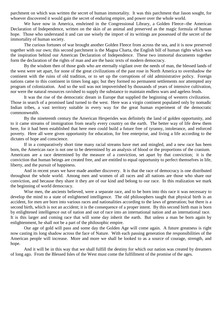parchment on which was written the secret of human immortality. It was this parchment that Jason sought, for whoever discovered it would gain the secret of enduring empire, and power over the whole world.

We have now in America, enshrined in the Congressional Library, a Golden Fleece--the American Declaration of Independence, written on the skin of an animal and preserved as the magic formula of human hope. Those who understand it and can use wisely the import of its writings are possessed of the secret of the immortality of human society.

The curious fortunes of war brought another Golden Fleece from across the sea, and it is now preserved together with our own; this second parchment is the Magna Charta, the English bill of human rights which was the inspiration behind our American Declaration of Independence. These two immortal documents together form the declaration of the rights of man and are the basic texts of modern democracy.

By the wisdom then of those gods who are eternally vigilant over the needs of man, the blessed lands of the west were set apart, for none of the great civilizations of the past rose in North America to overshadow the continent with the ruins of old tradition, or to set up the corruptions of old administrative policy. Foreign nations came to this continent in times long ago; but they formed no permanent settlements nor attempted any program of colonization. And so the soil was not impoverished by thousands of years of intensive cultivation, nor were the natural resources ravished to supply the substance to maintain endless wars and ageless feuds.

It was the rise of the democratic dream in Europe that supplied the beginning of western civilization. Those in search of a promised land turned to the west. Here was a virgin continent populated only by nomadic Indian tribes, a vast territory suitable in every way for the great human experiment of the democratic commonwealth.

By the nineteenth century the American Hesperides was definitely the land of golden opportunity, and to it came streams of immigration from nearly every country on the earth. The better way of life drew them here, for it had been established that here men could build a future free of tyranny, intolerance, and enforced poverty. Here all were given opportunity for education, for free enterprise, and living a life according to the dictates of hope and conscience.

If in a comparatively short time many racial streams have met and mingled, and a new race has been born, the American race is not one to be determined by an analysis of blood or the proportions of the cranium. Americans are a race determined by the measure of a conviction, set apart by that conviction; it is the conviction that human beings are created free, and are entitled to equal opportunity to perfect themselves in life, liberty, and the pursuit of happiness.

And in recent years we have made another discovery. It is that the race of democracy is one distributed throughout the whole world. Among men and women of all races and all nations are those who share our conviction, and because they share it they are of our kind and belong to our race. In this realization we mark the beginning of world democracy.

Wise men, the ancients believed, were a separate race, and to be born into this race it was necessary to develop the mind to a state of enlightened intelligence. The old philosophers taught that physical birth is an accident, for men are born into various races and nationalities according to the laws of generation; but there is a second birth, which is not an accident; it is the consequence of a proper intent. By this second birth man is born by enlightened intelligence out of nation and out of race into an international nation and an international race. It is this larger and coming race that will some day inherit the earth. But unless a man be born again by enlightenment, he shall not be a part of the philosophic empire.

Our age of gold will pass and some day the Golden Age will come again. A future greatness is right now casting its long shadow across the face of Nature. With each passing generation the responsibilities of the American people will increase. More and more we shall be looked to as a source of courage, strength, and hope.

And it will be in this way that we shall fulfill the destiny for which our nation was created by dreamers of long ago. From the Blessed Isles of the West must come the fulfillment of the promise of the ages.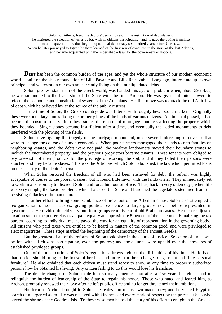#### 4 THE FIRST ELECTION OF LAW-MAKERS

Solon, of Athens, freed the debtors' person to reform the institution of debt slavery; he instituted the selection of juries by lot, with all citizens participating; and he gave the voting franchise to all taxpayers alike, thus beginning national democracy six hundred years before Christ. ... When he later journeyed to Egypt, he there learned of the first war of conquest, in the story of the lost Atlantis, and became acquainted with the imperishable laws for the government of nations.

**DEBT** has been the common burden of the ages, and yet the whole structure of our modern economic world is built on the shaky foundation of Bills Payable and Bills Receivable. Long ago, interest ate up its own principal, and we terest on our own are currently living on the inunliquidated debts.

Solon, greatest statesman of the Greek world, was handed this age-old problem when, about 595 B.C., he was summoned to the leadership of the State with the title, Archon. He was given unlimited powers to reform the economic and constitutional systems of the Athenians. His first move was to attack the old Attic law of debt which he believed lay at the source of the public distress.

In the time of Solon, the Greek countryside was littered with roughly hewn stone markers. Originally these were boundary stones fixing the property lines of the lands of various citizens. As time had passed, it had become the custom to carve into these stones the records of mortgage contracts affecting the property which they bounded. Single stones became insufficient after a time, and eventually the added monuments to debt interfered with the plowing of the fields.

Solon, investigating the tragedy of the mortgage monument, made several interesting discoveries that were to change the course of human economics. When poor farmers mortgaged their lands to rich families on neighboring estates, and the debts were not paid, the wealthy landowners moved their boundary stones to include the encumbered property, and the previous proprietors became tenants. These tenants were obliged to pay one-sixth of their products for the privilege of working the soil; and if they failed their persons were attached and they became slaves. This was the Attic law which Solon abolished, the law which permitted loans on the security of the debtor's person.

When Solon restored the freedom of all who had been enslaved for debt, the reform was highly acceptable of course to the poorer classes; but it found little favor with the landowners. They immediately set to work in a conspiracy to discredit Solon and force him out of office. Thus, back in very olden days, when life was very simple, the basic problems which harassed the State and burdened the legislators stemmed from the persisting fallacies of human nature.

In further effort to bring some semblance of order out of the Athenian chaos, Solon also attempted a reorganization of social classes, giving political existence to large groups never before represented in government. He divided the citizenry into four groups reminiscent of old Brahman castes. He then readjusted taxation so that the poorer classes all paid equally an approximate 5 percent of their income. Equalizing the tax burden according to individual means paved the way for an equality of representation in the governing body. All citizens who paid taxes were entitled to be heard in matters of the common good, and were privileged to elect magistrates. These steps marked the beginning of the democracy of the ancient Greeks.

But the greatest of all of the reforms of Solon took place in the courts of justice. Selection of juries was by lot, with all citizens participating, even the poorest; and these juries were upheld over the pressures of established privileged groups.

One of the most curious of Solon's regulations throws light on the difficulties of his time. He forbade that a bride should bring to the house of her husband more than three changes of garment and 'like personal furniture.' He also ordained that each citizen must stand ready to show at any time to properly authorized persons how he obtained his living. Any citizen failing to do this would lose his franchise.

The drastic changes of Solon made him so many enemies that after a few years he felt he had to relinquish the burden of leadership of the State to regain his honor. Those who hated and feared him, as Archon, promptly renewed their love after he left public office and no longer threatened their ambitions.

His term as Archon brought to Solon the realization of his own inadequacy; and he visited Egypt in search of a larger wisdom. He was received with kindness and every mark of respect by the priests at Sais who served the shrine of the Goddess Isis. To these wise men he told the story of his effort to enlighten the Greeks,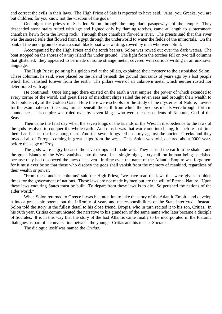and correct the evils in their laws. The High Priest of Sais is reported to have said, "Alas, you Greeks, you are but children; for you know not the wisdom of the gods."

One night the priests of Sais led Solon through the long dark pasageways of the temple. They descended stone stairs rutted with age and lighted only by flaming torches, came at length to subterranean chambers hewn from the living rock. Through these chambers flowed a river. The priests said that this river was the sacred Nile that flowed from Egypt through the underworld to water the fields of the immortals. On the bank of the underground stream a small black boat was waiting, rowed by men who were blind.

Accompanied by the High Priest and the torch bearers, Solon was rowed out over the dark waters. The boat stopped on the shores of a tiny island far under ground. The light from the torches fell on two tall columns that glistened; they appeared to be made of some strange metal, covered with curious writing in an unknown language.

The High Priest, pointing his golden rod at the pillars, explained their mystery to the astonished Solon. These columns, he said, were placed on the island beneath the ground thousands of years ago by a lost people which had vanished forever from the earth. The pillars were of an unknown metal which neither rusted nor deteriorated with age.

He continued: Once long ago there existed on the earth a vast empire, the power of which extended to every corner of the world, and great fleets of merchant ships sailed the seven seas and brought their wealth to its fabulous city of the Golden Gate. Here there were schools for the study of the mysteries of Nature; towers for the examination of the stars; mines beneath the earth from which the precious metals were brought forth in abundance. This empire was ruled over by seven kings, who were the descendents of Neptune, God of the Seas.

Then came the fatal day when the seven kings of the Islands of the West in disobedience to the laws of the gods resolved to conquer the whole earth. And thus it was that war came into being, for before that time there had been no strife among men. And the seven kings led an army against the ancient Greeks and they invaded all of Europe, coming in great ships from the west. This, Solon was told, occured about 9000 years before the seige of Troy.

The gods were angry because the seven kings had made war. They caused the earth to be shaken and the great Islands of the West vanished into the sea. In a single night, sixty million human beings perished because they had disobeyed the laws of heaven. In time even the name of the Atlantic Empire was forgotten; for it must ever be so that those who disobey the gods shall vanish from the memory of mankind, regardless of their wealth or power.

"From these ancient columns" said the High Priest, "we have read the laws that were given in olden times for the government of nations. These laws are not made by men but are the will of Eternal Nature. Upon these laws enduring States must be built. To depart from these laws is to die. So perished the nations of the elder world."

When Solon returned to Greece it was his intention to take the story of the Atlantic Empire and develop it into a great epic poem; but the infirmity of years and the responsibilities of the State interfered. Instead, Solon told the story in the fullest detail to his close friend, Dropis, who in turn recited it to his son, Critias. In his 90th year, Critias communicated the narrative to his grandson of the same name who later became a disciple of Socrates. It is in this way that the story of the lost Atlantis came finally to be incorporated in the Platonic dialogues as part of a conversation between the younger Critias and his master Socrates.

The dialogue itself was named the *Critias*.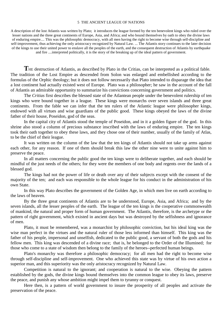#### 5 THE ANCIENT LEAGUE OF NATIONS

A description of the lost Atlantis was written by Plato; it introduces the league formed by the ten benevolent kings who ruled over the lesser nations and the three great continents of Europe, Asia, and Africa; and who bound themselves by oath to obey the divine laws of enduring empire.... This was the philosophic democracy, with all men having the right to become wise through self-discipline and self-improvement, thus achieving the only aristocracy recognized by Natural Law. ... The Atlantis story continues to the later decision of the kings to use their united power to enslave all the peoples of the earth, and the consequent destruction of Atlantis by earthquake and fire ....interpreted politically, it is the story of the breaking up of the ideal pattern of government.

THE destruction of Atlantis, as described by Plato in the Critias, can be interpreted as a political fable. The tradition of the Lost Empire as descended from Solon was enlarged and embellished according to the formulas of the Orphic theology; but it does not follow necessarily that Plato intended to disparage the idea that a lost continent had actually existed west of Europe. Plato was a philosopher; he saw in the account of the fall of Atlantis an admirable opportunity to summarize his convictions concerning government and politics.

The *Critias* first describes the blessed state of the Atlantean people under the benevolent rulership of ten kings who were bound together in a league. These kings were monarchs over seven islands and three great continents. From the fable we can infer that the ten rulers of the Atlantic league were philosopher kings, endowed with all virtues and wise guardians of the public good. These kings obeyed the laws of the divine father of their house, Poseidon, god of the seas.

In the capital city of Atlantis stood the temple of Poseidon, and in it a golden figure of the god. In this shrine also stood a column of precious substance inscribed with the laws of enduring empire. The ten kings took their oath together to obey these laws, and they chose one of their number, usually of the family of Atlas, to be the chief of their league.

It was written on the column of the law that the ten kings of Atlantis should not take up arms against each other, for any reason. If one of them should break this law the other nine were to unite against him to preserve the peace.

In all matters concerning the public good the ten kings were to deliberate together, and each should be mindful of the just needs of the others; for they were the members of one body and regents over the lands of a blessed god.

The kings had not the power of life or death over any of their subjects except with the consent of the majority of the ten; and each was responsible to the whole league for his conduct in the administration of his own State.

In this way Plato describes the government of the Golden Age, in which men live on earth according to the laws of heaven.

By the three great continents of Atlantis are to be understood, Europe, Asia, and Africa; and by the seven islands, all the lesser peoples of the earth. The league of the ten kings is the cooperative commonwealth of mankind, the natural and proper form of human government. The Atlantis, therefore, is the archetype or the pattern of right government, which existed in ancient days but was destroyed by the selfishness and ignorance of men.

Plato, it must be remembered, was a monarchist by philosophic conviction, but his ideal king was the wise man perfect in the virtues and the natural ruler of those less informed than himself. This king was the father of his people, impersonal and unselfish, dedicated to the public good, a servant of both the gods and his fellow men. This king was descended of a divine race; that is, he belonged to the Order of the Illumined; for those who come to a state of wisdom then belong to the family of the heroes--perfected human beings.

Plato's monarchy was therefore a philosophic democracy; for all men had the right to become wise through self-discipline and self-improvement. One who achieved this state was by virtue of his own action a superior man, and this superiority was the only aristocracy recognized by Natural Law.

Competition is natural to the ignorant; and cooperation is natural to the wise. Obeying the pattern established by the gods, the divine kings bound themselves into the common league to obey its laws, preserve the peace, and punish any whose ambition might impel them to tyranny or conquest.

Here then, is a pattern of world government to insure the prosperity of all peoples and activate the preservation of the peace.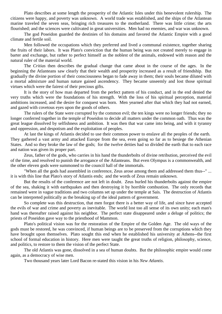Plato describes at some length the prosperity of the Atlantic Isles under this benevolent rulership. The citizens were happy, and poverty was unknown. A world trade was established, and the ships of the Atlantean marine traveled the seven seas, bringing rich treasures to the motherland. There was little crime; the arts flourished; and the sciences were cultivated in great universities. Men had no enemies, and war was unknown.

The god Poseidon guarded the destinies of his domains and favored the Atlantic Empire with a good climate and fertile soil.

Men followed the occupations which they preferred and lived a communal existence, together sharing the fruits of their labors. It was Plato's conviction that the human being was not created merely to engage in barter and exchange, but rather to perfect himself as the noblest of the animals, endowed with reason and the natural ruler of the material world.

The *Critias* then describes the gradual change that came about in the course of the ages. In the beginning the Atlanteans saw clearly that their wealth and prosperity increased as a result of friendship. But gradually the divine portion of their consciousness began to fade away in them; their souls became diluted with a mortal admixture and human nature gained ascendency. They became unseemly and lost those spiritual virtues which were the fairest of their precious gifts.

It is the story of how man departed from the perfect pattern of his conduct, and in the end denied the very truths which were the foundations of his strength. With the loss of his spiritual perception, material ambitions increased, and the desire for conquest was born. Men yearned after that which they had not earned, and gazed with covetous eyes upon the goods of others.

The rulers of the State were corrupted by the common evil; the ten kings were no longer friends; they no longer conferred together in the temple of Poseidon to decide all matters under the common oath. Thus was the great league dissolved by selfishness and ambition. It was then that war came into being, and with it tyranny and oppression, and despotism and the exploitation of peoples.

At last the kings of Atlantis decided to use their common power to enslave all the peoples of the earth. They gathered a vast army and attacked Europe from the sea, even going so far as to besiege the Athenian States. And so they broke the law of the gods; for the twelve deities had so divided the earth that to each race and nation was given its proper part.

Zeus, father of the gods, who carries in his hand the thunderbolts of divine retribution, perceived the evil of the time, and resolved to punish the arrogance of the Atlanteans. But even Olympus is a commonwealth, and the other eleven gods were summoned to the council hall of the immortals.

"When all the gods had assembled in conference, Zeus arose among them and addressed them thus--" ... it is with this line that Plato's story of Atlantis ends; and the words of Zeus remain unknown.

But the results of the conference are not left in doubt. Zeus hurled his thunderbolts against the empire of the sea, shaking it with earthquakes and then destroying it by horrible combustion. The only records that remained were in vague traditions and two columns set up under the temple at Sais. The destruction of Atlantis can be interpreted politically as the breaking up of the ideal pattern of government.

So complete was this destruction, that men forgot there is a better way of life, and since have accepted the evils of war and crime and poverty as inevitable. The world lost too all sense of its own unity; each man's hand was thereafter raised against his neighbor. The perfect state disappeared under a deluge of politics; the priests of Poseidon gave way to the priesthood of Mammon.

Plato's political vision was for the restoration of the Empire of the Golden Age. The old ways of the gods must be restored, he was convinced, if human beings are to be preserved from the corruptions which they have brought upon themselves. Plato sought this end when he established his university at Athens--the first school of formal education in history. Here men were taught the great truths of religion, philosophy, science, and politics, to restore to them the vision of the perfect State.

The old Atlantis was gone, dissolved in a sea of human doubts. But the philosophic empire would come again, as a democracy of wise men.

Two thousand years later Lord Bacon re-stated this vision in his *New Atlantis*.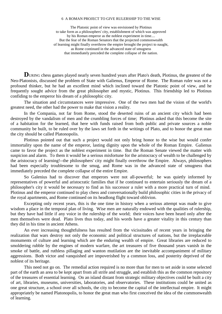#### 6 A ROMAN PROJECT TO GIVE RULERSHIP TO THE WISE

The Platonic point of view was envisioned by Plotinus to take form as a philosophers' city, establishment of which was approved by his Roman emperor as the noblest experiment in time.... But the fear of the Roman Senators that the projected commonwealth of learning might finally overthrow the empire brought the project to naught, as Rome continued in the advanced state of smugness that immediately preceded the complete collapse of the nation.

DURING chess games played nearly seven hundred years after Plato's death, Plotinus, the greatest of the Neo-Platonists, discussed the problem of State with Galienus, Emperor of Rome. The Roman ruler was not a profound thinker, but he had an excellent mind which inclined toward the Platonic point of view, and he frequently sought advice from the great philosopher and mystic, Plotinus. This friendship led to Plotinus confiding to the emperor his dream of a philosophic city.

The situation and circumstances were impressive. One of the two men had the vision of the world's greatest need, the other had the power to make that vision a reality.

In the Compania, not far from Rome, stood the deserted ruins of an ancient city which had been destroyed by the vandalism of men and the crumbling forces of time; Plotinus asked that this become the site of a habitation for the learned, that here with funds raised from both public and private sources a noble community be built, to be ruled over by the laws set forth in the writings of Plato, and to honor the great man the city should be called Platonopolis.

Plotinus pointed out that such a project would not only bring honor to the wise but would confer immortality upon the name of the emperor, lasting dignity upon the whole of the Roman Empire. Galienus came to favor the project as the noblest experiment in time. But the Roman Senate viewed the matter with suspicion and alarm. To them it would be a serious misfortune for the aristocracy of wealth to be challenged by the aristocracy of learning!--the philosophers' city might finally overthrow the Empire. Always, philosophers had been especially troublesome to the smug, and Rome was in the advanced state of smugness that immediately preceded the complete collapse of the entire Empire.

So Galenius had to discover that emperors were not all-powerful; he was quietly informed by representatives of powerful and aristocratic families that if he continued to entertain seriously the dream of a philosopher's city it would be necessary to find as his successor a ruler with a more practical turn of mind. Plotinus and the emperor continued to play chess and conversationally build philosophic cities in the privacy of the royal apartments, and Rome continued on its headlong flight toward oblivion.

Excepting only recent years, this is the one time in history when a serious attempt was made to give wisdom a place in the temporal plan of living. Wise men are naturally endowed with the qualities of rulership, but they have had little if any voice in the rulership of the world; their voices have been heard only after the men themselves were dead. Plato lives thus today, and his words have a greater vitality in this century than they did in his time in ancient Athens.

An ever increasing thoughtfulness has resulted from the vicissitudes of recent years in bringing the realization that wars destroy not only the economic and political structures of nations, but the irreplaceable monuments of culture and learning which are the enduring wealth of empire. Great libraries are reduced to smoldering rubble by the engines of modern warfare, the art treasures of five thousand years vanish in the smoke of battle, and ruthless pillaging and wanton mutilation are the inevitable accompaniment of military aggressions. Both victor and vanquished are impoverished by a common loss, and posterity deprived of the noblest of its heritage.

This need not go on. The remedial action required is no more than for men to set aside in some selected part of the earth an area to be kept apart from all strife and struggle, and establish this as the common repository of the treasures of essential learning. On an island distant from strategic military objectives could be built a city of art, libraries, museums, universities, laboratories, and observatories. These institutions could be united as one great structure, a school over all schools, the city to become the capital of the intellectual empire. It might appropriately be named Platonopolis, to honor the great man who first conceived the idea of the commonwealth of learning.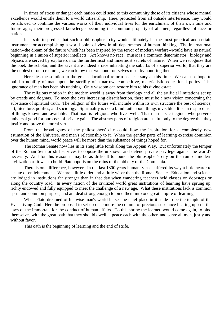In times of stress or danger each nation could send to this community those of its citizens whose mental excellence would entitle them to a world citizenship. Here, protected from all outside interference, they would be allowed to continue the various works of their individual lives for the enrichment of their own time and future ages, their progressed knowledge becoming the common property of all men, regardless of race or nation.

It is safe to predict that such a philosophers' city would ultimately be the most practical and certain instrument for accomplishing a world point of view in all departments of human thinking. The international nation--the dream of the future which has been inspired by the terror of modern warfare--would have its natural beginning in a union of superior intellects. Art knows no race; music is a common denominator; biology and physics are served by explorers into the furthermost and innermost secrets of nature. When we recognize that the poet, the scholar, and the savant are indeed a race inhabiting the suburbs of a superior world, that they are the noblest of our creatures, we can know that we honor ourselves most by honoring them.

Here lies the solution to the great educational reform so necessary at this time. We can not hope to build a nobility of man upon the sterility of a narrow, competitive, materialistic educational policy. The ignorance of man has been his undoing. Only wisdom can restore him to his divine estate.

The religious motion in the modern world is away from theology and all the artificial limitations set up by creeds and dogmas. To meet the ever increasing dissatisfaction, there must be a new vision concerning the substance of spiritual truth. The religion of the future will include within its own structure the best of science, art, literature, politics, and sociology. Spirituality is not a blind faith about things invisible. It is an inspired use of things known and available. That man is religious who lives well. That man is sacrilegious who perverts universal good for purposes of private gain. The abstract parts of religion are useful only to the degree that they justify and prove the moral virtues.

From the broad gates of the philosophers' city could flow the inspiration for a completely new estimation of the Universe, and man's relationship to it. When the gentler parts of learning exercise dominion over the human mind, world peace will be more than the substance of things hoped for.

The Roman Senate now lies in its snug little tomb along the Appian Way. But unfortunately the temper of the Roman Senator still survives to oppose the unknown and defend private privilege against the world's necessity. And for this reason it may be as difficult to found the philosopher's city on the ruin of modern civilization as it was to build Platonopolis on the ruins of the old city of the Compania.

There is one difference, however. In the last 1800 years humanity has suffered its way a little nearer to a state of enlightenment. We are a little older and a little wiser than the Roman Senate. Education and science are lodged in institutions far stronger than in that day when wandering teachers held classes on doorsteps or along the country road. In every nation of the civilized world great institutions of learning have sprung up, richly endowed and fully equipped to meet the challenge of a new age. What these institutions lack is common spirit and common purpose, and an ideal strong enough to bind them into one great empire of learning.

When Plato dreamed of his wise man's world he set the chief place in it aside to be the temple of the Ever Living God. Here he proposed to set up once more the column of precious substance bearing upon it the laws of the immortals for the conduct of human affairs. To this shrine the learned would come again, to bind themselves with the great oath that they should dwell at peace each with the other, and serve all men, justly and without favor.

This oath is the beginning of learning and the end of strife.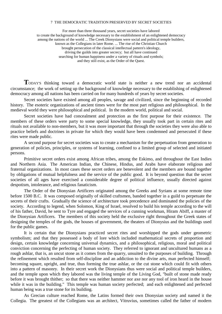# 7 THE DEMOCRATIC TRADITION PRESERVED BY SECRET SOCIETIES

For more than three thousand years, secret societies have labored to create the background of knowledge necessary to the establishment of an enlightened democracy among the nations of the world ... The Creek Dionysians were social and political temple builders, known as the Collegians in later Rome. ... The rise of the Christian Church brought persecution of the classical intellectual pattern's ideology, driving the guilds into greater secrecy; but all have continued searching for human happiness under a variety of rituals and symbols; and they still exist, as the Order of the Quest.

**T**ODAY'S thinking toward a democratic world state is neither a new trend nor an accidental circumstance; the work of setting up the background of knowledge necessary to the establishing of enlightened democracy among all nations has been carried on for many hundreds of years by secret societies.

Secret societies have existed among all peoples, savage and civilized, since the beginning of recorded history. The esoteric organizations of ancient times were for the most part religious and philosophical. In the medieval world they were philosophical and political. In the modern world, political and social.

Secret societies have had concealment and protection as the first purpose for their existence. The members of these orders were party to some special knowledge, they usually took part in certain rites and rituals not available to non-members, but it was more important that through the societies they were also able to practice beliefs and doctrines in private for which they would have been condemned and persecuted if these rites were made public.

A second purpose for secret societies was to create a mechanism for the perpetuation from generation to generation of policies, principles, or systems of learning, confined to a limited group of selected and initiated persons.

Primitive secret orders exist among African tribes, among the Eskimo, and throughout the East Indies and Northern Asia. The American Indian, the Chinese, Hindus, and Arabs have elaborate religious and fraternal organizations. In most cases these secret orders are benevolent and the members are bound together by obligations of mutual helpfulness and the service of the public good. It is beyond question that the secret societies of all ages have exercised a considerable degree of political influence, usually directed against despotism, intolerance, and religious fanaticism.

The Order of the Dionysian Artificers originated among the Greeks and Syrians at some remote time before 1500 B.C. It was composed originally of skilled craftsmen, banded together in a guild to perpetuate the secrets of their crafts. Gradually the science of architecture took precedence and dominated the policies of the society. According to legend, when Solomon, King of Israel, resolved to build his temple according to the will of his father, David, he sent to Tyre and engaged the services of a cunning workman, Hiram Abiff, a master of the Dionysian Artificers. The members of this society held the exclusive right throughout the Greek states of designing the temples of the gods, the houses of government, the theaters of Dionysius and the buildings used for the public games.

It is certain that the Dionysians practiced secret rites and worshipped the gods under geometric symbolism; and that they possessed a body of lore which included mathematical secrets of proportion and design, certain knowledge concerning universal dynamics, and a philosophical, religious, moral and political conviction concerning the perfecting of human society. They referred to ignorant and uncultured humans as a rough ashlar, that is, an uncut stone as it comes from the quarry, unsuited to the purposes of building. Through the refinement which resulted from self-discipline and an addiction to the divine arts, man perfected himself; becoming square, upright, and true, thus forming the true ashlar, or the cut stone which could fit with others into a pattern of masonry. In their secret work the Dionysians thus were social and political temple builders, and the temple upon which they labored was the living temple of the Living God, "built of stone made ready before it was brought thither; so that there was neither hammer nor axe nor any tool of iron heard in the house while it was in the building." This temple was human society perfected; and each enlightened and perfected human being was a true stone for its building.

As Grecian culture reached Rome, the Latins formed their own Dionysian society and named it the Collegia. The greatest of the Collegians was an architect, Vitruvius, sometimes called the father of modern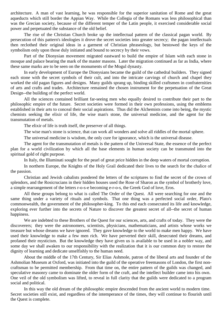architecture. A man of vast learning, he was responsible for the superior sanitation of Rome and the great aqueducts which still border the Appian Way. While the Collegia of the Romans was less philosophical than was the Grecian society, because of the different temper of the Latin people, it exercised considerable social power and perpetuated the substance of the old belief.

The rise of the Christian Church broke up the intellectual pattern of the classical pagan world. By persecution of this pattern's ideologies it drove the secret societies into greater secrecy; the pagan intellectuals then reclothed their original ideas in a garment of Christian phraseology, but bestowed the keys of the symbolism only upon those duly initiated and bound to secrecy by their vows.

Part of the Dionysian movement migrated eastward to build the empire of Islam with each stone in mosque and palace bearing the mark of the master masons. Later the migration continued as far as India, where these same marks are to be seen on the monuments of the Mogul dynasty.

In early development of Europe the Dionysians became the guild of the cathedral builders. They signed each stone with the secret symbols of their cult, and into the intricate carvings of church and chapel they worked the old pagan figures and designs. Many guilds sprang up, binding skilled craftsmen in confraternities of arts and crafts and trades. Architecture remained the chosen instrument for the perpetuation of the Great Design--the building of the perfect world.

All the sciences contained brilliant far-seeing men who equally desired to contribute their part to the philosophic empire of the future. Secret societies were formed in their own professions, using the emblems established in their arts to conceal their social aspirations. Thus did the Alchemists come into being, the mystic chemists seeking the elixir of life, the wise man's stone, the universal medicine, and the agent for the transmutation of metals.

The elixir of life is truth itself, the preserver of all things.

The wise man's stone is science, that can work all wonders and solve all riddles of the mortal sphere.

The universal medicine is wisdom, the only cure for ignorance, which is the universal disease.

The agent for the transmutation of metals is the pattern of the Universal State, the essence of the perfect plan for a world civilization by which all the base elements in human society can be transmuted into the spiritual gold of right purpose.

In Italy, the Illuminati sought for the pearl of great price hidden in the deep waters of mortal corruption.

In northern Europe, the Knights of the Holy Grail dedicated their lives to the search for the chalice of the passion.

Christian and Jewish cabalists pondered the letters of the scriptures to find the secret of the crown of splendors, and the Rosicrucians in their hidden houses used the Rose of Sharon as the symbol of brotherly love, a simple rearrangement of the letters r-o-s-e becoming e-r-o-s, the Greek God of love, Eros.

All these groups belong to what is called The Order of the Quest. All were searching for one and the same thing under a variety of rituals and symbols. That one thing was a perfected social order, Plato's commonwealth, the government of the philosopher-king. To this end each consecrated its life and knowledge, exploring ever further into the secrets of Nature to discover the greatest secret of all--the secret of human happiness.

We are indebted to these Brothers of the Quest for our sciences, arts, and crafts of today. They were the discoverers; they were the astronomers, scientists, physicians, mathematicians, and artists whose works we treasure but whose dreams we have ignored. They gave knowledge to the world to make men happy. We have used their knowledge to make a few men rich. We have perverted their skill, desecrated their dreams, and profaned their mysticism. But the knowledge they have given us is available to be used in a nobler way, and some day we shall awaken to our responsibility with the realization that it is our common duty to restore the dignity of learning and dedicate unselfishly to the human need.

About the middle of the 17th Century, Sir Elias Ashmole, patron of the liberal arts and founder of the Ashmolian Museum at Oxford, was initiated into the guild of the operative freemasons of London, the first noncraftsman to be permitted membership. From that time on, the entire pattern of the guilds was changed, and speculative masonry came to dominate the older form of the craft, and the intellect builder came into his own. One veil of the old symbolism was lifted, to reveal in full clarity that the guilds were dedicated to a program social and political.

In this way the old dream of the philosophic empire descended from the ancient world to modern time. Secret societies still exist, and regardless of the intemperance of the times, they will continue to flourish until the Quest is complete.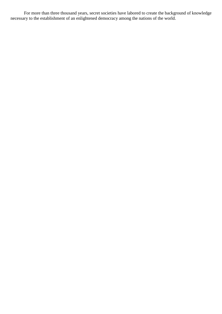For more than three thousand years, secret societies have labored to create the background of knowledge necessary to the establishment of an enlightened democracy among the nations of the world.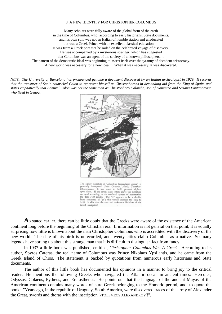#### 8 A NEW IDENTITY FOR CHRISTOPHER COLUMBUS

Many scholars were fully aware of the global form of the earth in the time of Columbus, who, according to early historians, State documents, and his own son, was not an Italian of humble station and uneducated but was a Greek Prince with an excellent classical education. ... It was from a Greek port that he sailed on the celebrated voyage of discovery. He was accompanied by a mysterious stranger, which has suggested that Columbus was an agent of the society of unknown philosophers. ... The pattern of the democratic ideal was beginning to assert itself over the tyranny of decadent aristocracy. A new world was necessary for a new idea. ... When it was necessary, it was discovered.

*NOTE: The University of Barcelona has pronounced genuine a document discovered by an Italian archeologist in 1929. It records that the treasurer of Spain counseled Colon to represent himself as Christophorens in demanding aid from the King of Spain, and states emphatically that Admiral Colon was not the same man as Christophoro Colombo, son of Dominico and Susana Fontanarossa who lived in Genoa.*



The cipher signature of Columbus (reproduced above) is<br>generally interpreted  $Salec$   $Chritus$ ,  $Maris$ ,  $Yorephu-Chritoferens$ . It was usual to build personal ciphers<br>upon dates. If the seven large letters above the signature appen ances. Ir the seven large tetters above the signature<br>are read according to the medieval system of numeration<br>the date 1420 results. The "x" appears to be a double<br>letter composed of "jx"; this would increase the sum Greek navigator?

As stated earlier, there can be little doubt that the Greeks were aware of the existence of the American continent long before the beginning of the Christian era. If information is not general on that point, it is equally surprising how little is known about the man Christopher Columbus who is accredited with the discovery of the new world. The date of his birth is unrecorded, and twenty cities claim Columbus as a native. So many legends have sprung up about this strange man that it is difficult to distinguish fact from fancy.

In 1937 a little book was published, entitled, *Christopher Columbus Was A Greek*. According to its author, Spyros Cateras, the real name of Columbus was Prince Nikolaos Ypsilantis, and he came from the Greek Island of Chios. The statement is backed by quotations from numerous early historians and State documents.

The author of this little book has documented his opinions in a manner to bring joy to the critical reader. He mentions the following Greeks who navigated the Atlantic ocean in ancient times: Hercules, Odyssus, Colaeus, Pytheus, and Eratosthenes. He points out that the language of the ancient Mayas of the American continent contains many words of pure Greek belonging to the Homeric period, and, to quote the book: "Years ago, in the republic of Uruguay, South America, were discovered traces of the army of Alexander the Great, swords and thoras with the inscription 'PTOLEMEOS ALEXANDROY'!".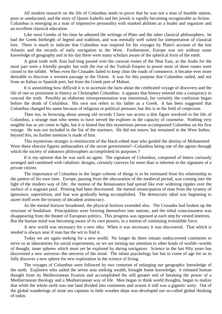All modern research on the life of Columbus tends to prove that he was not a man of humble station, poor or uneducated, and the story of Queen Isabella and her jewels is rapidly becoming recognizable as fiction. Columbus is emerging as a man of impressive personality with marked abilities as a leader and organizer and an excellent classical education.

Like most Greeks of his time he admired the writings of Plato and the other classical philosophers; he had the Greek birthright of legend and tradition, and was mentally well suited for interpretation of classical lore. There is much to indicate that Columbus was inspired for his voyages by Plato's account of the lost Atlantis and the records of early navigation to the West. Furthermore, Europe was not without some knowledge of geography and in his day there were many scholars aware of the spherical form of the earth.

A great trade with Asia had long passed over the caravan routes of the Near East, as the Arabs for the most part were a friendly people; but with the rise of the Turkish Empire to power most of these routes were closed to the infidel. When even the Crusades failed to keep clear the roads of commerce, it became ever more desirable to discover a western passage to the Orient. It was for this purpose that Columbus sailed, and not from an Italian or Spanish port, but from the Greek port of Mahon.

It is astonishing how difficult it is to ascertain the facts about the celebrated voyage of discovery and the life of one so prominent in history as Christopher Columbus; it appears that history entered into a conspiracy to conceal the truth. Possibly an elaborate misrepresentation was intentional, for certainly the confusion began before the death of Columbus. His own son refers to his father as a Greek. It has been suggested that Columbus changed his name because of religious or political pressure, but this is in the field of conjecture.

Then too, in browsing about among old records I have run across a dim figure involved in the life of Columbus, a strange man who seems to have served the explorer in die capacity of counselor. Nothing very tangible has as yet come to light, but it is hinted that this mysterious person accompanied Columbus on his first voyage. He was not included in the list of the mariners. He did not return, but remained in the West Indies; beyond this, no further mention is made of him.

This mysterious stranger is reminiscent of the black-robed man who guided the destiny of Mohammed. Were these obscure figures ambassadors of the secret government?--Columbus being one of the agents through which the society of unknown philosophers accomplished its purposes ?

It is my opinion that he was such an agent. The signature of Columbus, composed of letters curiously arranged and combined with cabalistic designs, certainly conveys far more than is inherent in the signature of a private citizen.

The importance of Columbus in the larger scheme of things is to be estimated from his relationship to the pattern of his own time. Europe, passing from the obscuration of the medieval period, was coming into the light of the modern way of life; the motion of the Renaissance had spread like ever widening ripples over the surface of a stagnant pool. Printing had been discovered; the mental emancipation of man from the tyranny of ignorance, superstition, and fear was gradually being accomplished. The democratic ideal was beginning to assert itself over the tyranny of decadent aristocracy.

As the mental horizon broadened, the physical horizon extended also. The Crusades had broken up the structure of feudalism. Principalities were forming themselves into nations, and the tribal consciousness was disappearing from the theater of European politics. This progress was opposed at each step by vested interests. But the human mind was becoming aware of its own powers, in a motion of continuing irresistible force.

A new world was necessary for a new idea. When it was necessary it was discovered. That which is needed is always near if man has the wit to find it.

Today we are again seeking for a new world. No longer do there remain undiscovered continents to serve us as laboratories for social experiments, so we are turning our attention to other kinds of worlds--worlds of thought, inner spheres which must yet be explored by daring navigators. Science in the last fifty years has discovered a new universe--the universe of the mind. The infant psychology has but to come of age for us to fully discover a new sphere for new exploration in the science of living.

The voyages of Columbus were followed by two centuries of enlarging our geographic knowledge of the earth. Explorers who sailed the seven seas seeking wealth, brought home knowledge; it released human thought from its Mediterranean fixation and accomplished the still greater end of breaking the power of a Mediterranean theology and a Mediterranean way of life. Men began to think world thoughts, began to realize that while the whole earth was one land divided into continents and oceans it still was a gigantic unity. Out of the global wanderings of stout sea captains in little wooden ships was developed our so-called global thinking of today.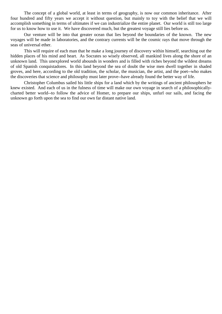The concept of a global world, at least in terms of geography, is now our common inheritance. After four hundred and fifty years we accept it without question, but mainly to toy with the belief that we will accomplish something in terms of ultimates if we can industrialize the entire planet. Our world is still too large for us to know how to use it. We have discovered much, but the greatest voyage still lies before us.

Our venture will be into that greater ocean that lies beyond the boundaries of the known. The new voyages will be made in laboratories, and the contrary currents will be the cosmic rays that move through the seas of universal ether.

This will require of each man that he make a long journey of discovery within himself, searching out the hidden places of his mind and heart. As Socrates so wisely observed, all mankind lives along the shore of an unknown land. This unexplored world abounds in wonders and is filled with riches beyond the wildest dreams of old Spanish conquistadores. In this land beyond the sea of doubt the wise men dwell together in shaded groves, and here, according to the old tradition, the scholar, the musician, the artist, and the poet--who makes the discoveries that science and philosophy must later prove--have already found the better way of life.

Christopher Columbus sailed his little ships for a land which by the writings of ancient philosophers he knew existed. And each of us in the fulness of time will make our own voyage in search of a philosophicallycharted better world--to follow the advice of Homer, to prepare our ships, unfurl our sails, and facing the unknown go forth upon the sea to find our own far distant native land.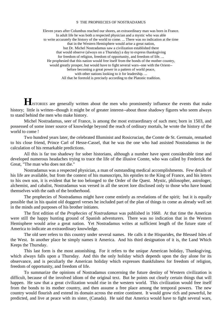# 9 THE PROPHECIES OF NOSTRADAMUS

Eleven years after Columbus reached our shores, an extraordinary man was born in France. In adult life he was both a respected physician and a mystic who was able to write accurately the history of the world to come. ... There was no indication at the time that in the Western Hemisphere would arise a great nation, but Dr. Michel Nostradamus saw a civilization established there that would observe (always on a Thursday) a day to express thanksgiving for freedom of religion, freedom of opportunity, and freedom of life. ... He prophesied that this nation would free itself from the bonds of the mother country, would greatly prosper, but would have to fight several wars--one with the Orient- before becoming a great power in a pattern of world peace, with other nations looking to it for leadership. ... All that he foretold is precisely according to the Platonic tradition.

**H**ISTORIES are generally written about the men who prominently influence the events that make history; little is written--though it might be of greater interest--about those shadowy figures who seem always to stand behind the men who make history.

Michel Nostradamus, seer of France, is among the most extraordinary of such men; born in 1503, and possessed of some inner source of knowledge beyond the reach of ordinary mortals, he wrote the history of the world to come !

Two hundred years later, the celebrated Illuminist and Rosicrucian, the Comte de St. Germain, remarked to his close friend, Prince Carl of Hesse-Cassel, that he was the one who had assisted Nostradamus in the calculation of his remarkable predictions.

All this is far too shadowy for sober historians, although a number have spent considerable time and developed numerous headaches trying to trace the life of the illusive Comte, who was called by Frederick the Great, "The man who does not die."

Nostradamus was a respected physician, a man of outstanding medical accomplishments. Few details of his life are available, but from the context of his manuscripts, his epistles to the King of France, and his letters to his own son, it is evident that he too belonged to the Order of the Quest. Mystic, philosopher, astrologer, alchemist, and cabalist, Nostradamus was versed in all the secret lore disclosed only to those who have bound themselves with the oath of the brotherhood.

The prophecies of Nostradamus might have come entirely as revelations of the spirit; but it is equally possible that in his quaint old doggerel verses he included part of the plan of things to come as already well set in the minds and purposes of his brother initiates.

The first edition of the *Prophecies of Nostradamus* was published in 1660. At that time the Americas were still the happy hunting ground of Spanish adventurers. There was no indication that in the Western Hemisphere would arise a great nation. Yet Nostradamus writes at sufficient length of the future state of America to indicate an extraordinary knowledge.

The old seer refers to this country under several names. He calls it the Hisparides, the Blessed Isles of the West. In another place he simply names it America. And his third designation of it is, the Land Which Keeps the Thursday.

This last form is the most astonishing. For it refers to the unique American holiday, Thanksgiving, which always falls upon a Thursday. And this the only holiday which depends upon the day alone for its observance, and is peculiarly the American holiday which expresses thankfulness for freedom of religion, freedom of opportunity, and freedom of life.

To summarize the opinions of Nostradamus concerning the future destiny of Western civilization is difficult, because of the involved idiom of the original text. But he points out clearly certain things that will happen. He saw that a great civilization would rise in the western world. This civilization would free itself from the bonds to its mother country, and then assume a free place among the temporal powers. The new country would flourish and extend its domain across the entire continent. It would grow rich and powerful, he predicted, and live at peace with its sister, (Canada). He said that America would have to fight several wars,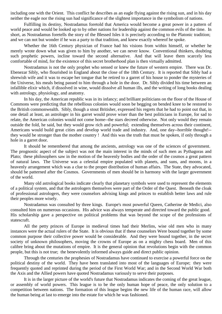including one with the Orient. This conflict he describes as an eagle flying against the rising sun, and in his day neither the eagle nor the rising sun had significance of the slightest importance in the symbolism of nations.

Fulfilling its destiny, Nostradamus foretold that America would become a great power in a pattern of world peace and would be looked up to by other nations for leadership against the common evils of the time. In short, as Nostradamus foretells the story of the Blessed Isles it is precisely according to the Platonic tradition; and we can not but wonder if he was a party to that tradition, and knew exactly whereof he spoke.

Whether the 16th Century physician of France had his visions from within himself, or whether he merely wrote down what was given to him by another, we can never know. Conventional thinkers, doubting such prophetic powers, incline toward the second alternative. And that will leave them scarcely less comfortable of mind, for the existence of this secret brotherhood plan is then virtually admitted.

Nostradamus is not the only prophet who sensed or knew the future of western empire. There was Dr. Ebenezar Sibly, who flourished in England about the close of the 18th Century. It is reported that Sibly had a shrewish wife and it was to escape her tongue that he retired to a garret of his house to ponder the mysteries of the Universe, his meals being passed to him through a hole in the door. Dr. Sibly divided his time between an infallible elixir which, if dissolved in wine, would dissolve all human ills, and the writing of long books dealing with astrology, physiology, and anatomy.

In his day, the American republic was in its infancy; and brilliant politicians on the floor of the House of Commons were predicting that the rebellious colonies would soon be begging on bended knee to be restored to the British commonwealth. Sibly, though a stout Britisher, expressed his regrets that he had to point out that, in one detail at least, an astrologer in his garret would prove wiser than the best politicians in Europe, for sad to relate, the American colonies would not come home--the stars decreed otherwise. Not only would they remain outside the fold, he said, but they would grow rich and powerful; extending themselves across their continent, Americans would build great cities and develop world trade and industry. And, one day--horrible thought!- they would be stronger than the mother country ! And this was the truth that must be spoken, if only through a hole in a garret door.

It should be remembered that among the ancients, astrology was one of the sciences of government. The prognostic aspect of the subject was not the main interest in the minds of such men as Pythagoras and Plato; these philosophers saw in the motion of the heavenly bodies and the order of the cosmos a great pattern of natural laws. The Universe was a celestial empire populated with planets, and suns, and moons, in a heavenly arrangement which was a clue to the proper distribution of human affairs. The State, they advocated, should be patterned after the Cosmos. Governments of men should be in harmony with the larger government of the world.

Many old astrological books indicate clearly that planetary symbols were used to represent the elements of a political system, and that the astrologers themselves were part of the Order of the Quest. Beneath the cloak of professional astrologers, they were counselors advising kings and princes to establish better laws and rule their peoples more wisely.

Nostradamus was consulted by three kings. Europe's most powerful Queen, Catherine de Medici, also consulted him on numerous occasions. His advice was always temperate and directed toward the public good. His scholarship gave a perspective on political problems that was beyond the scope of the professions of statescraft.

All the petty princes of Europe in medieval times had their Merlins, wise old men who in many instances were the actual rulers of the State. It is obvious that if these counselors Were bound together by some common purpose their collective power would be considerable. And they were bound together, in the secret society of unknown philosophers, moving the crowns of Europe as on a mighty chess board. Men of this calibre bring about the mutations of empire. It is the general opinion that revolutions begin with the common people, but this is not true; the benevolently informed always guide and direct public opinion.

Through the centuries the prophesies of Nostradamus have continued to exercise a powerful force on the political destiny of the world. They have been translated into most of the languages of Europe; they were frequently quoted and reprinted during the period of the First World War; and in the Second World War both the Axis and the Allied powers have quoted Nostradamus variously to serve their purposes.

It is in the larger picture of the world's future that Nostradamus indicates the coming of the great league, or assembly of world powers. This league is to be the only human hope of peace, the only solution to a competition between nations. The formation of this league begins the new life of the human race, will allow the human being at last to emerge into the estate for which he was fashioned.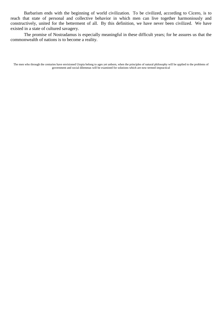Barbarism ends with the beginning of world civilization. To be civilized, according to Cicero, is to reach that state of personal and collective behavior in which men can live together harmoniously and constructively, united for the betterment of all. By this definition, we have never been civilized. We have existed in a state of cultured savagery.

The promise of Nostradamus is especially meaningful in these difficult years; for he assures us that the commonwealth of nations is to become a reality.

The men who through the centuries have envisioned Utopia belong to ages yet unborn, when the principles of natural philosophy will be applied to the problems of government and social dilemmas will be examined for solutions which are now termed impractical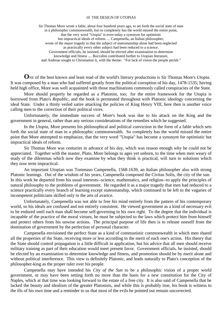#### 10 THE DESIGN OF UTOPIAS

Sir Thomas More wrote a fable, about four hundred years ago, to set forth the social state of man

in a philosophic commonwealth, but so completely has the world missed the entire point,

that the very word "Utopia" is even today a synonym for optimistic

but impractical ideals of reform. ... Campenella, an Italian philosopher,

wrote of the major tragedy in that the subject of statesmanship alone had been neglected

as practically every other subject had been reduced to a science.

Government officials, he insisted, should be elected after examination to determine

knowledge and fitness .... Boccalini contributed further to Utopian literature,

and Andreae sought to Christianize it, with the theme: "For lack of vision the people perish."

**O**NE of the best known and least read of the world's literary productions is Sir Thomas More's *Utopia*. It was composed by a man who had suffered greatly from the political corruption of his day, 1478-1535; having held high office, More was well acquainted with those machinations commonly called conspiracies of the State.

More should properly be regarded as a Platonist, too; for the entire framework for the Utopia is borrowed from Plato's *Republic*, and the book is permeated throughout with Platonic ideology concerning the ideal State. Under a thinly veiled satire attacking the policies of King Henry VIII, here then is another voice calling men to the correction of their political vices.

Unfortunately, the immediate success of More's book was due to his attack on the King and the government in general, rather than any serious considerations of the remedies which he suggested.

In the *Utopia*, More presents his philosophical and political conviction in the form of a fable which sets forth the social state of man in a philosophic commonwealth. So completely has the world missed the entire point that More attempted to emphasize, that the very word "Utopia" has become a synonym for optimistic but impractical ideals of reform.

Sir Thomas More was centuries in advance of his day, which was reason enough why he could not be appreciated. Together with the master, Plato, More belongs to ages yet unborn, to the time when men weary of study of the dilemmas which now they examine by what they think is practical, will turn to solutions which they now term impractical.

An important Utopian was Tommaso Campenella, 1568-1639, an Italian philosopher also with strong Platonic leanings. Out of the wisdom of his years, Campenella composed the Civitas Solis, the city of the sun. In this work he departed from his usual interests--science, mathematics, and religion--to apply the principles of natural philosophy to the problems of government. He regarded it as a major tragedy that men had reduced to a science practically every branch of learning except statesmanship, which continued to be left to the vagaries of incompetent politicians skilled only in the arts of avarice.

Unfortunately, Campenella was not able to free his mind entirely from the pattern of his contemporary world, so his ideals are confused and not entirely consistent. He viewed government as a kind of necessary evil to be endured until each man shall become self-governing in his own right. To the degree that the individual is incapable of the practice of the moral virtues, he must be subjected to the laws which protect him from himself and protect others from his unwise actions. The principal purpose of life then is to release oneself from the domination of government by the perfection of personal character.

Campenella envisioned the perfect State as a kind of communistic commonwealth in which men shared all the properties of the State, receiving more or less according to the merit of each one's action. His theory that the State should control propagation is a little difficult in application, but his advice that all men should receive military training as part of their education would meet present favor. Government officials, he insisted, should be elected by an examination to determine knowledge and fitness, and promotion should be by merit alone and without political interference. This view is definitely Platonic, and leads naturally to Plato's conception of the philosopher-king as the proper ruler over his people.

Campenella may have intended his *City of the Sun* to be a philosophic vision of a proper world government, or may have been setting forth no more than the basis for a new constitution for the City of Naples, which at that time was looking forward to the estate of a free city. It is also said of Campenella that he lacked the beauty and idealism of the greater Platonists, and while this is probably true, his book is witness to the ills of his own time and a reminder to us that most of the evils he pointed out remain uncorrected.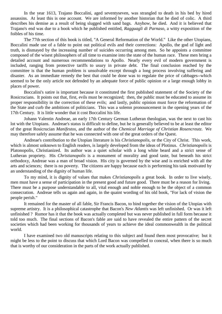In the year 1613, Trajano Boccalini, aged seventyseven, was strangled to death in his bed by hired assassins. At least this is one account. We are informed by another historian that he died of colic. A third describes his demise as a result of being slugged with sand bags. Anyhow, he died. And it is believed that Trajano's end was due to a book which he published entitled, *Ragguagli di Parnaso*, a witty exposition of the foibles of his time.

The 77th section of this book is titled, "A General Reformation of the World." Like the other Utopians, Boccalini made use of a fable to point out political evils and their corrections: Apollo, the god of light and truth, is dismayed by the increasing number of suicides occurring among men. So he appoints a committee composed of the wisest philosophers of all time to examine into the state of the human race. These men bring a detailed account and numerous recommendations to Apollo. Nearly every evil of modern government is included, ranging from protective tariffs to usury in private debt. The final conclusion reached by the committee is that the human problem is unsolvable except through a long process involving suffering and disaster. As an immediate remedy the best that could be done was to regulate the price of cabbages--which seemed to be the only article not defended by an adequate force of public opinion or a large enough lobby in places of power.

Boccalini's satire is important because it constituted the first published statement of the Society of the Rosicrucians. It points out that, first, evils must be recognized; then, the public must be educated to assume its proper responsibility in the correction of these evils; and lastly, public opinion must force the reformation of the State and curb the ambitions of politicians. This was a solemn pronouncement in the opening years of the 17th Century. It is little wonder that it cost Boccalini his life.

Johann Valentin Andreae, an early 17th Century German Lutheran theologian, was the next to cast his lot with the Utopians. Andreae's status is difficult to define, but he is generally believed to be at least the editor of the great Rosicrucian *Manifestos*, and the author of the *Chemical Marriage of Christian Rosencreutz*. We may therefore safely assume that he was connected with one of the great orders of the Quest.

Andreae's contribution to the Utopian literature is his *Christianopolis*, or the City of Christ. This work, which is almost unknown to English readers, is largely developed from the ideas of Plotinus. *Christianopolis* is Platonopolis, Christianized. Its author was a quiet scholar with a long white beard and a strict sense of Lutheran propriety. His *Christianopolis* is a monument of morality and good taste, but beneath his strict orthodoxy, Andreae was a man of broad vision. His city is governed by the wise and is enriched with all the arts and sciences; there is no poverty. The citizens are happy because each is performing his task motivated by an understanding of the dignity of human life.

To my mind, it is dignity of values that makes *Christianopolis* a great book. In order to live wisely, men must have a sense of participation in the present good and future good. There must be a reason for living. There must be a purpose understandable to all, vital enough and noble enough to be the object of a common consecration. Andreae tells us again and again, in the quaint wording of his old book, "For lack of vision the people perish."

It remained for the master of all fable, Sir Francis Bacon, to bind together the vision of the Utopias with supreme artistry. It is a philosophical catastrophe that Bacon's *New Atlantis* was left unfinished. Or was it left unfinished ? Rumor has it that the book was actually completed but was never published in full form because it told too much. The final sections of Bacon's fable are said to have revealed the entire pattern of the secret societies which had been working for thousands of years to achieve the ideal commonwealth in the political world.

I have examined two old manuscripts relating to this subject and found them most provocative; but it might be less to the point to discuss that which Lord Bacon was compelled to conceal, when there is so much that is worthy of our consideration in the parts of the work actually published.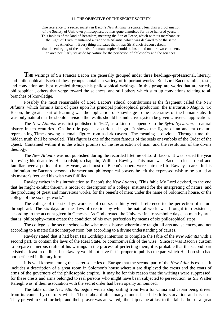#### 11 THE OBJECTIVE OF THE SECRET SOCIETY

One reference to a secret society in Bacon's *New Atlantis* is scarcely less than a proclamation of the Society of Unknown philosophers, but has gone unnoticed for three hundred years. ... This fable is of the land of Bensalem, meaning the Son of Peace, which with its merchandise, the Light of Truth, maintained a trade with Atlantis, which was declared to be the same as America. ... Every thing indicates that it was Sir Francis Bacon's dream that the enlarging of the bounds of human empire should be instituted on our own continent, an area peculiarly set aside by Nature for the perfection of philosophy and the sciences.

THE writings of Sir Francis Bacon are generally grouped under three headings--professional, literary, and philosophical. Each of these groups contains a variety of important works. But Lord Bacon's mind, taste, and conviction are best revealed through his philosophical writings. In this group are works that are strictly philosophical, others that verge toward the sciences, and still others which sum up convictions relating to all branches of knowledge.

Possibly the most remarkable of Lord Bacon's ethical contributions is the fragment called the *New Atlantis*, which forms a kind of gloss upon his principal philosophical production, the *Instauratio Magna*. To Bacon, the greater part of learning was the application of knowledge to the necessities of the human state. It was only natural that he should envision the results should his inductive system be given Universal application.

The *New Atlantis* was first published in 1627, as a kind of appendix to the *Sylva Sylvarum*, a natural history in ten centuries. On the title page is a curious design. It shows the figure of an ancient creature representing Time drawing a female figure from a dark cavern. The meaning is obvious: Through time, the hidden truth shall be revealed. This figure is one of the most famous of the seals or symbols of the Order of the Quest. Contained within it is the whole promise of the resurrection of man, and the restitution of the divine theology.

The *New Atlantis* was not published during the recorded lifetime of Lord Bacon. It was issued the year following his death by His Lordship's chaplain, William Rawley. This man was Bacon's close friend and familiar over a period of many years, and most of Bacon's papers were entrusted to Rawley's care. In his admiration for Bacon's personal character and philosophical powers he left the expressed wish to be buried at his master's feet, and his wish was fulfilled.

Rawley writes in his introduction to Bacon's the *New Atlantis*, "This fable My Lord devised, to the end that he might exhibit therein, a model or description of a college, instituted for the interpreting of nature, and the producing of great and marvelous works, for the benefit of men; under the name of Solomon's house, or the college of the six days work."

The college of the six days work is, of course, a thinly veiled reference to the perfection of nature through art. The six days are the days of creation by which the natural world was brought into existence, according to the account given in Genesis. As God created the Universe in six symbolic days, so man by art- that is, philosophy--must create the condition of his own perfection by means of six philosophical steps.

The college is the secret school--the wise man's 'house' wherein are taught all arts and sciences, and not according to a materialistic interpretation, but according to a divine understanding of causes.

Rawley stated that it had been His Lordship's intention to complete the fable of the *New Atlantis* with a second part, to contain the laws of the Ideal State, or commonwealth of the wise. Since it was Bacon's custom to prepare numerous drafts of his writings in the process of perfecting them, it is probable that the second part existed at least in outline; but Rawley would not have felt it proper to publish the part which His Lordship had not perfected in literary form.

It is well known among the secret societies of Europe that the second part of the *New Atlantis* exists. It includes a description of a great room in Solomon's house wherein are displayed the crests and the coats of arms of the governors of the philosophic empire. It may be for this reason that the writings were suppressed, for these crests and arms belonged to real persons who might have been subjected to persecution, as Sir Walter Raleigh was, if their association with the secret order had been openly announced.

The fable of the *New Atlantis* begins with a ship sailing from Peru for China and Japan being driven from its course by contrary winds. Those aboard after many months faced death by starvation and disease. They prayed to God for help, and their prayer was answered; the ship came at last to the fair harbor of a great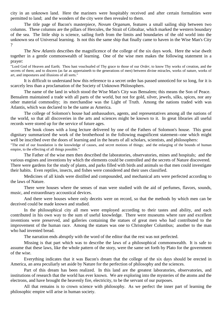city in an unknown land. Here the mariners were hospitably received and after certain formalities were permitted to land; and the wonders of the city were then revealed to them.

The title page of Bacon's masterpiece, *Novum Organum*, features a small sailing ship between two columns. These columns are the pillars of Hercules, the Strait of Gibraltar, which marked the western boundary of the sea. The little ship is science, sailing forth from the limits and boundaries of the old world into the unknown sea of Universal learning. Is not this the same ship that finally came to haven in the Wise Man's City  $\gamma$ 

The *New Atlantis* describes the magnificence of the college of the six days work. Here the wise dwelt together in a gentle commonwealth of learning. One of the wise men makes the following statement in a prayer:

"Lord God of Heaven and Earth; Thou hast vouchsafed of Thy grace to those of our *Order*, to know Thy works of creation, and the secrets of them; and to discern (as far as appertaineth to the generations of men) between divine miracles, works of nature, works of art, and impostures and illusions of all sorts."

It is difficult to understand how this reference to a secret order has passed unnoticed for so long, for it is scarcely less than a proclamation of the Society of Unknown Philosophers.

The name of the land in which stood the Wise Man's City was Bensalem; this means the Son of Peace. Bensalem maintained a trade with all parts of the world, but not for gold, silver, jewels, silks, spices, nor any other material commodity; its merchandise was the Light of Truth. Among the nations traded with was Atlantis, which was declared to be the same as America.

The college of Solomon's house had ambassadors, agents, and representatives among all the nations of the world, so that all discoveries in the arts and sciences might be known to it. In great libraries all useful records were stored up for the service of future ages.

The book closes with a long lecture delivered by one of the Fathers of Solomon's house. This great dignitary summarized the work of the brotherhood in the following magnificent statement--one which might well be inscribed over the doors of learning and in the hearts of all scholars, scientists, and philosophers:

"The end of our foundation is the knowledge of causes, and secret motions of things; and the enlarging of the bounds of human empire, to the effecting of all things possible."

The Father of the wise men then described the laboratories, observatories, mines and hospitals; and the various engines and inventions by which the elements could be controlled and the secrets of Nature discovered. There were gardens for the study of plants, and parks filled with birds and animals so that men could investigate their habits. Even reptiles, insects, and fishes were considered and their uses classified.

Medicines of all kinds were distilled and compounded, and mechanical arts were perfected according to the laws of Nature.

There were houses where the senses of man were studied with the aid of perfumes, flavors, sounds, music, and extraordinary accoustical devices.

And there were houses where only deceits were on record, so that the methods by which men can be deceived could be made known and studied.

In the philosophical city all men were employed according to their tastes and ability, and each contributed in his own way to the sum of useful knowledge. There were museums where rare and excellent inventions were preserved, and galleries containing the statues of great men who had contributed to the improvement of the human race. Among the statues was one to Christopher Columbus; another to the man who had invented bread.

The narration ends abruptly with the word of the editor that the rest was not perfected.

Missing is that part which was to describe the laws of a philosophical commonwealth. It is safe to assume that these laws, like the whole pattern of the story, were the same set forth by Plato for the government of the wise.

Everything indicates that it was Bacon's dream that the college of the six days should be erected in America, an area peculiarly set aside by Nature for the perfection of philosophy and the sciences.

Part of this dream has been realized. In this land are the greatest laboratories, observatories, and institutions of research that the world has ever known. We are exploring into the mysteries of the atoms and the electrons, and have brought the heavenly fire, electricity, to be the servant of our purposes.

All that remains is to crown science with philosophy. As we perfect the inner part of learning the philosophic empire will arise in human society.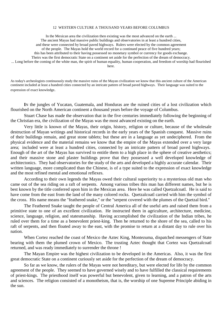### 12 WESTERN CULTURE A THOUSAND YEARS BEFORE COLUMBUS

In the Mexican area the civilization then existing was the most advanced on the earth ... The ancient Mayas had massive public buildings and observatories in at least a hundred cities, and these were connected by broad paved highways. Rulers were elected by the common agreement of the people. The Mayas hold the world record for a continued peace of five hundred years; this has been attributed to their having possessed no monetary symbol or currency for goods exchange. Theirs was the first democratic State on a continent set aside for the perfection of the dream of democracy. ... Long before the coming of the white man, the spirit of human equality, human cooperation, and freedom of worship had flourished

here.

As today's archeologists continuously study the massive ruins of the Mayan civilization we know that this ancient culture of the American continent included at least a hundred cities connected by an intricate pattern of broad paved highways. Their language was suited to the expression of exact knowledge.

**I**N the jungles of Yucatan, Guatemala, and Honduras are the ruined cities of a lost civilization which flourished on the North American continent a thousand years before the voyage of Columbus.

Stuart Chase has made the observation that in the five centuries immediately following the beginning of the Christian era, the civilization of the Mayas was the most advanced existing on the earth.

Very little is known of the Mayas, their origin, history, religion or culture, because of the wholesale destruction of Mayan writings and historical records in the early years of the Spanish conquest. Massive ruins of their buildings remain, and great stone tablets; but these are in a language as yet undeciphered. From the physical evidence and the material remains we know that the empire of the Mayas extended over a very large area; included were at least a hundred cities, connected by an intricate pattern of broad paved highways. Enough of the art of the Mayas has survived to entitle them to a high place in the sphere of creative aesthetics; and their massive stone and plaster buildings prove that they possessed a well developed knowledge of architectonics. They had observatories for the study of the arts and developed a highly accurate calendar. Their written language, more complicated than the Chinese, is of a type suited to the expression of exact knowledge and the most refined mental and emotional reflexes.

According to their own legends the Mayas owed their cultural superiority to a mysterious old man who came out of the sea riding on a raft of serpents. Among various tribes this man has different names, but he is best known by the title conferred upon him in the Mexican area. Here he was called Quetzalcoatl. He is said to have come from the east from the land of the many colored rocks. Quetzalcoatl carried with him the symbol of the cross. His name means the "feathered snake," or the "serpent covered with the plumes of the Quetzal bird."

The Feathered Snake taught the people of Central America all of the useful arts and raised them from a primitive state to one of an excellent civilization. He instructed them in agriculture, architecture, medicine, science, language, religion, and statesmanship. Having accomplished the civilization of the Indian tribes, he ruled over them for a time as a benevolent priest-king. Then he returned to the shore of the sea, called to his raft of serpents, and then floated away to the east, with the promise to return at a distant day to rule over his nation.

When Cortez reached the coast of Mexico the Aztec King, Montezuma, dispatched messengers of State bearing with them the plumed crown of Mexico. The trusting Aztec thought that Cortez was Quetzalcoatl returned, and was ready immediately to surrender the throne !

The Mayan Empire was the highest civilization to be developed in the Americas. Also, it was the first great democratic State on a continent curiously set aside for the perfection of the dream of democracy.

So far as we know, the rulers of the Mayas were not hereditary, but were elected for life by the common agreement of the people. They seemed to have governed wisely and to have fulfilled the classical requirements of priest-kings. The priesthood itself was powerful but benevolent, given to learning, and a patron of the arts and sciences. The religion consisted of a monotheism, that is, the worship of one Supreme Principle abiding in the sun.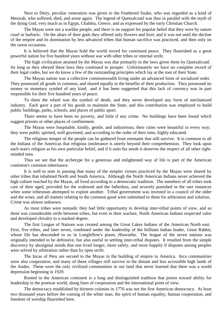Next to Deity, peculiar veneration was given to the Feathered Snake, who was regarded as a kind of Messiah, who suffered, died, and arose again. The legend of Quetzalcoatl was thus in parallel with the myth of the dying God, very much as in Egypt, Chaldea, Greece, and as expressed by the early Christian Church.

The Mayas were not a warlike people, and there is no support for popular belief that they were by nature cruel or barbaric. On the altars of their gods they offered only flowers and fruit; and it was not until the decline of the empire and its domination by less advanced tribes that human sacrifice was practiced, and then only on the rarest occasions.

It is believed that the Mayas hold the world record for continued peace. They flourished as a great powerful nation for five hundred years without war with other tribes or internal strife.

The high civilization attained by the Mayas was due primarily to the laws given them by Quetzalcoatl. So long as they obeyed these laws they continued to prosper. Unfortunately we have no complete record of their legal codes, but we do know a few of the outstanding principles which lay at the root of their State.

The Mayan nation was a collective commonwealth living under an advanced form of socialized order. They possessed all goods in common, and shared equally in the benefits of their production. They possessed no money or monetary symbol of any kind; and it has been suggested that this lack of currency was in part responsible for their five hundred years of peace.

To them the wheel was the symbol of death, and they never developed any form of mechanized industry. Each gave a part of his goods to maintain the State, and this contribution was employed to build public buildings, parks, schools, and places of public sport.

There seems to have been no poverty, and little if any crime. No buildings have been found which suggest prisons or other places of confinement.

The Mayas were hospitable, kindly, gentle, and industrious; their cities were beautiful in every way; they were public spirited, well governed, and according to the order of their time, highly educated.

The religious temper of the people can be gathered from remnants that still survive. It is common to all the Indians of the Americas that religious intolerance is utterly beyond their comprehension. They look upon each man's religion as his own particular belief, and if it suits his needs it deserves the respect of all other rightminded men.

Thus we see that the archetype for a generous and enlightened way of life is part of the American continent's common inheritance.

It is well to note in passing that many of the simpler virtues practiced by the Mayas were shared by other tribes that inhabited North and South America. Although the North American Indians never achieved the high culture reached by the Mayas, all lived according to a democratic tradition. The members of all tribes took care of their aged, provided for the widowed and the fatherless, and severely punished in the rare instances when some tribesman attempted to exploit another. Tribal government was invested in a council of the older and the wiser, and all matters relating to the common good were submitted to them for arbitration and solution. Crime was almost unknown.

As most tribes were nomadic they had little opportunity to develop inter-tribal points of view, and so there was considerable strife between tribes, but even in their warfare, North American Indians respected valor and developed chivalry to a marked degree.

The first League of Nations was created among the Great Lakes Indians of the American North east. First, five tribes, and later seven, combined under the leadership of the brilliant Indian leader, Great Rabbit, whose life has descended to us in Longfellow's poem, *Hiawatha*. The league of the seven nations was originally intended to be defensive, but also useful in settling inter-tribal disputes. It resulted from the simple discovery by aboriginal minds that one lived longer, more safely, and more happily if disputes among peoples were solved by arbitration rather than by open strife.

The Incas of Peru are second to the Mayas in the building of empire in America. Inca communities were also cooperative, and many of these villages still survive in the distant and less accessible high lands of the Andes. These were the only civilized communities in our land that never learned that there was a world depression beginning in 1929.

Rooted in the American continent is a long and distinguished tradition that points toward ability for leadership in the postwar world, along lines of cooperation and the international point of view.

The democracy established by thirteen colonies in 1776 was not the first American democracy. At least two thousand years before the coming of the white man, the spirit of human equality, human cooperation, and freedom of worship flourished here.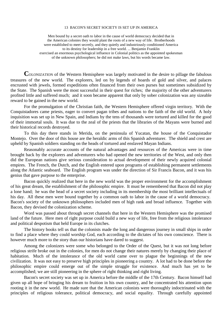#### 13 BACON'S SECRET SOCIETY IS SET UP IN AMERICA

Men bound by a secret oath to labor in the cause of world democracy decided that in the American colonies they would plant the roots of a new way of life. Brotherhoods were established to meet secretly, and they quietly and industriously conditioned America to its destiny for leadership in a free world. ... Benjamin Franklin exercised an enormous psychological influence in Colonial politics as the appointed spokesman of the unknown philosophers; he did not make laws, but his words became law.

**C**OLONIZATION of the Western Hemisphere was largely motivated in the desire to pillage the fabulous treasures of the new world. The explorers, led on by legends of hoards of gold and silver, and palaces encrusted with jewels, formed expeditions often financed from their own purses but sometimes subsidized by the State. The Spanish were the most successful in their quest for riches; the majority of the other adventurers profited little and suffered much; and it soon became apparent that only by sober colonization was any sizeable reward to be gained in the new world.

For the promulgation of the Christian faith, the Western Hemisphere offered virgin territory. With the Conquistadores came priests, eager to convert pagan tribes and nations to the faith of the old world. A holy inquisition was set up in New Spain, and Indians by the tens of thousands were tortured and killed for the good of their immortal souls. It was due to the zeal of the priests that the libraries of the Mayans were burned and their historical records destroyed.

To this day there stands in Merida, on the peninsula of Yucatan, the house of the Conquistador Montejo. Over the door of this house are the heraldic arms of this Spanish adventurer. The shield and crest are upheld by Spanish soldiers standing on the heads of tortured and enslaved Mayan Indians.

Reasonably accurate accounts of the natural advantages and resources of the Americas were in time brought back by the explorers and adventurers who had opened the new territories of the West, and only then did the European nations give serious consideration to actual development of their newly acquired colonial empires. The French, the Dutch, and the English entered upon programs of establishing permanent settlements along the Atlantic seaboard. The English program was under the direction of Sir Francis Bacon, and it was his genius that gave purpose to the enterprise.

Bacon quickly realized that here in the new world was the proper environment for the accomplishment of his great dream, the establishment of the philosophic empire. It must be remembered that Bacon did not play a lone hand; he was the head of a secret society including in its membership the most brilliant intellectuals of his day. All these men were bound together by a common oath to labor in the cause of a world democracy. Bacon's society of the unknown philosophers included men of high rank and broad influence. Together with Bacon, they devised the colonization scheme.

Word was passed about through secret channels that here in the Western Hemisphere was the promised land of the future. Here men of right purpose could build a new way of life, free from the religious intolerance and political despotism that held Europe in its clutches.

The history books tell us that the colonists made the long and dangerous journey in small ships in order to find a place where they could worship God, each according to the dictates of his own conscience. There is however much more to the story than our historians have dared to suggest.

Among the colonizers were some who belonged to the Order of the Quest, but it was not long before religious strife broke out in the colonies, for men do not change their natures merely by changing their place of habitation. Much of the intolerance of the old world came over to plague the beginnings of the new civilization. It was not easy to preserve high principles in pioneering a country. A lot had to be done before the philosophic empire could emerge out of the simple struggle for existence. And much has yet to be accomplished; we are still pioneering in the sphere of right thinking and right living.

Bacon's secret society was set up in America before the middle of the 17th Century. Bacon himself had given up all hope of bringing his dream to fruition in his own country, and he concentrated his attention upon rooting it in the new world. He made sure that the American colonists were thoroughly indoctrinated with the principles of religious tolerance, political democracy, and social equality. Through carefully appointed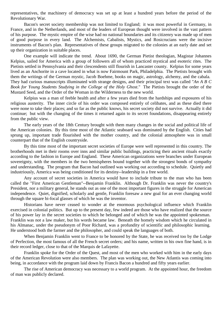representatives, the machinery of democracy was set up at least a hundred years before the period of the Revolutionary War.

Bacon's secret society membership was not limited to England; it was most powerful in Germany, in France, and in the Netherlands, and most of the leaders of European thought were involved in the vast pattern of his purpose. The mystic empire of the wise had no national boundaries and its citizenry was made up of men of good purpose in every land. The Alchemists, Cabalists, Mystics, and Rosicrucians were the incisive instruments of Bacon's plan. Representatives of these groups migrated to the colonies at an early date and set up their organization in suitable places.

One example will indicate the trend. About 1690, the German Pietist theologian, Magistar Johannes Kelpius, sailed for America with a group of followers all of whom practiced mystical and esoteric rites. The Pietists settled in Pennsylvania and their clescendents still flourish in Lancaster county. Kelpius for some years lived as an Anchorite in a cave located in what is now Fairmount Park, Philadelphia. The Pietists brought with them the writings of the German mystic, Jacob Boehme, books on magic, astrology, alchemy, and the cabala. They had curious manuscripts illuminated with strange designs, and their principal text was called "*An A B C Book for Young Students Studying in the College of the Holy Ghost*." The Pietists brought the order of the Mustard Seed, and the Order of the Woman in the Wilderness to the new world.

Kelpius was a man of feeble health and after a few years died from the hardships and exposures of his religious austerity. The inner circle of his order was composed entirely of celibates, and as these died there were none to take their places; and so far as the public knows, his secret society did not survive. Actually it did continue; but with the changing of the times it returned again to its secret foundations, disappearing entirely from the public view.

The early years of the 18th Century brought with them many changes in the social and political life of the American colonies. By this time most of the Atlantic seaboard was dominated by the English. Cities had sprung up, important trade flourished with the mother country, and the colonial atmosphere was in small counterpart that of the English countryside.

By this time most of the important secret societies of Europe were well represented in this country. The brotherhoods met in their rooms over inns and similar public buildings, practicing their ancient rituals exactly according to the fashion in Europe and England. These American organizations were branches under European sovereignty, with the members in the two hemispheres bound together with the strongest bonds of sympathy and understanding. The program that Bacon had outlined was working out according to schedule. Quietly and industriously, America was being conditioned for its destiny--leadership in a free world.

Any account of secret societies in America would have to include tribute to the man who has been called the "First American Gentleman"--Benjamin Franklin. Although Dr. Franklin was never the country's President, nor a military general, he stands out as one of the most important figures in the struggle for American independence. Quiet, dignified, scholarly and gentle, Franklin foresaw a new goal for an ever changing world through the square bi-focal glasses of which he was the inventor.

Historians have never ceased to wonder at the enormous psychological influence which Franklin exercised in colonial politics. But up to the present day, few indeed are those who have realized that the source of his power lay in the secret societies to which he belonged and of which he was the appointed spokesman. Franklin was not a law maker, but his words became law. Beneath the homely wisdom which he circulated in his Almanac, under the pseudonym of Poor Richard, was a profundity of scientific and philosophic learning. He understood both the farmer and the philosopher, and could speak the languages of both.

When Benjamin Franklin went to France to be honored by the State, he was received too by the Lodge of Perfection, the most famous of all the French secret orders; and his name, written in his own fine hand, is in their record ledger, close to that of the Marquis de Lafayette.

Franklin spoke for the Order of the Quest, and most of the men who worked with him in the early days of the American Revolution were also members. The plan was working out, the New Atlantis was coming into being, in accordance with the program laid down by Francis Bacon a hundred and fifty years earlier.

The rise of American democracy was necessary to a world program. At the appointed hour, the freedom of man was publicly declared.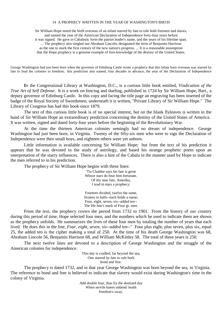# 14 A PROPHECY WRITTEN IN THE YEAR OF WASHINGTON'S BIRTH

Sir William Hope noted the birth overseas of an infant starred by fate to rule both freemen and slaves, and named the year of the American Declaration of Independence forty-four years before it was signed. He gave in Cabalistic form the patriot leader's name, and the years of his lifetime span. ... The prophecy also singled out Abraham Lincoln, designated the term of Benjamin Harrison as the one to mark the first century of the new nation's progress. ... It is a reasonable assumption that the Hope prophecy is a genuine example of fore-knowledge of the destiny of the United States.

George Washington had just been born when the governor of Edinburg Castle wrote a prophecy that this infant born overseas was starred by fate to lead the colonies to freedom; this prediction also named, four decades in advance, the year of the Declaration of Independence

**I**N the Congressional Library at Washington, D.C., is a curious little book entitled, *Vindication of the True Art of Self Defense*. It is a work on fencing and dueling, published in 1724 by Sir William Hope, Bart., a deputy governor of Edinburg Castle. In this copy and facing the title page an engraving has been inserted of the badge of the Royal Society of Swordsmen; underneath it is written, "Private Library of Sir William Hope." The Library of Congress has had this book since 1879.

The text of this curious little book is of no special interest, but on the blank flyleaves is written in the hand of Sir William Hope an extraordinary prediction concerning the destiny of the United States of America. It was written, signed and dated forty-four years before the beginning of the Revolutionary War.

At the time the thirteen American colonies semingly had no dream of independence. George Washington had just been born, in Virginia. Twenty of the fifty-six men who were to sign the Declaration of Independence were then small boys, and eighteen others were yet unborn.

Little information is available concerning Sir William Hope; but from the text of his prediction it appears that he was devoted to the study of astrology, and based his strange prophetic poem upon an interpretation of the starry influences. There is also a hint of the Cabala in the manner used by Hope to indicate the men referred to in his prediction.

The prophecy of Sir William Hope begins with these lines:

'Tis Chaldee says his fate is great Whose stars do bear him fortunate. Of thy near fate, Amerika, I read in stars a prophecy:

Fourteen divided, twelve the same, Sixteen in halfs--each holds a name; Four, eight, seven, six--added ten-- The life line's mark of Four gt. men.

From the text, the prophecy covers the period from 1732 to 1901. From the history of our country during this period of time, Hope selected four men, and the numbers which he used to indicate them are shown as the prophecy unfolds. He summarizes the lives of these four men by totaling the number of years that each lived. He does this in the line, *Four, eight, seven, six--added ten*--" Four plus eight, plus seven, plus six, equal 25, the added ten is the cipher making a total of 250. At the time of his death George Washington was 68, Abraham Lincoln 56, Benjamin Harrison 68, and William McKinley 58. The total of these years is 250.

The next twelve lines are devoted to a description of George Washington and the struggle of the American colonies for independence.

> This day is cradled, far beyond the sea, One starred by fate to rule both bond and free.

The prophecy is dated 1732, and in that year George Washington was born beyond the sea, in Virginia. The reference to bond and free is believed to indicate that slavery would exist during Washington's time in the colony of Virginia.

> Add double four, thus fix the destined day When servile knees unbend 'neath freedom's sway.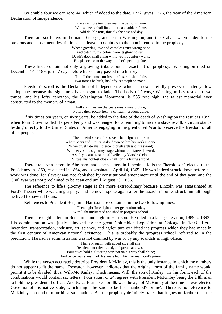By double four we can read 44, which if added to the date, 1732, gives 1776, the year of the American Declaration of Independence.

> Place six 'fore ten, then read the patriot's name Whose deeds shall link him to a deathless fame. Add double four, thus fix the destined day

There are six letters in the name George, and ten in Washington, and this Cabala when added to the previous and subsequent descriptions, can leave no doubt as to the man intended in the prophecy.

> Whose growing love and ceaseless trust wrong none And catch truth's colors from its glowing sun ! Death's door shall clang while yet his century waits, His planets point the way to other's pending fates.

These lines contain not only a glowing tribute but an exact bit of prophesy. Washington died on December 14, 1799, just 17 days before his century passed into history.

Till all the names on freedom's scroll shall fade,

Two tombs be built, his lofty cenotaph be made--

Freedom's scroll is the Declaration of Independence, which is now carefully preserved under yellow cellophane because the signatures have begun to fade. The body of George Washington has rested in two tombs; and his lofty cenotaph, the Washington Monument, is 555 feet high, the tallest memorial ever constructed to the memory of a man.

Full six times ten the years must onward glide,

Nature their potent help, a constant, prudent guide.

If six times ten years, or sixty years, be added to the date of the death of Washington the result is 1859, when John Brown raided Harper's Ferry and was hanged for attempting to incite a slave revolt, a circumstance leading directly to the United States of America engaging in the great Civil War to preserve the freedom of all of its people.

> Then fateful seven 'fore seven shall sign heroic son Whom Mars and Jupiter strike down before his work is done. When cruel fate shall pierce, though artless of its sword; Who leaves life's gloomy stage without one farewell word. A softly beaming star, half veiled by Mars' red cloud Virtue, his noblest cloak, shall form a fitting shroud.

There are seven letters in Abraham, and seven letters in Lincoln. He is the "heroic son" elected to the Presidency in 1860, re-elected in 1864, and assassinated April 14, 1865. He was indeed struck down before his work was done, for slavery was not abolished by constitutional amendment until the end of that year, and the Civil War was not proclaimed to be at an end until August 20, 1866.

The reference to life's gloomy stage is the more extraordinary because Lincoln was assassinated at Ford's Theater while watching a play; and he never spoke again after the assassin's bullet struck him although he lived for several hours.

References to President Benjamin Harrison are contained in the two following lines:

Then eight 'fore eight a later generation rules,

With light undimmed and shed in progress' school.

There are eight letters in Benjamin, and eight in Harrison. He ruled in a later generation, 1889 to 1893. His administration was justly climaxed by the great Columbian Exposition at Chicago in 1893. Here, invention, transportation, industry, art, science, and agriculture exhibited the progress which they had made in the first century of American national existence. This is probably the 'progress school' referred to in the prediction. Harrison's administration was not dimmed by war or by any scandals in high office.

Then six again, with added six shall rise,

Resplendent ruler--good, and great--and wise.

Four sixes hold a glittering star that on his way shall shine;

And twice four sixes mark his years from birth to manhood's prime.

While the verses accurately describe President McKinley, this is the only instance in which the numbers do not appear to fit the name. Research, however, indicates that the original form of the family name would permit it to be divided, thus, Will-Mc Kinley, which means, Will, the son of Kinley. In this form, each of the combinations would contain six letters. Four sixes, or 24, agrees with President McKinley being the 24th man to hold the presidential office. And twice four sixes, or 48, was the age of McKinley at the time he was elected Governor of his native state, which might be said to be his 'manhood's prime'. There is no reference to McKinley's second term or his assassination. But the prophecy definitely states that it goes no farther than the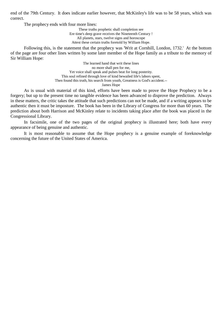end of the 79th Century. It does indicate earlier however, that McKinley's life was to be 58 years, which was correct.

The prophecy ends with four more lines:

These truths prophetic shall completion see Ere time's deep grave receives the Nineteenth Century ! All planets, stars, twelve signs and horoscope Attest these certain truths foretold by William Hope.

Following this, is the statement that the prophecy was 'Writ at Cornhill, London, 1732.' At the bottom of the page are four other lines written by some later member of the Hope family as a tribute to the memory of Sir William Hope:

> The learned hand that writ these lines no more shall pen for me, Yet voice shall speak and pulses beat for long posterity. This soul refined through love of kind bewailed life's labors spent, Then found this truth, his search from youth, Greatness is God's accident.-- James Hope

As is usual with material of this kind, efforts have been made to prove the Hope Prophecy to be a forgery; but up to the present time no tangible evidence has been advanced to disprove the prediction. Always in these matters, the critic takes the attitude that such predictions can not be made, and if a writing appears to be authentic then it must be imposture. The book has been in the Library of Congress for more than 60 years. The prediction about both Harrison and McKinley relate to incidents taking place after the book was placed in the Congressional Library.

In facsimile, one of the two pages of the original prophecy is illustrated here; both have every appearance of being genuine and authentic.

It is most reasonable to assume that the Hope prophecy is a genuine example of foreknowledge concerning the future of the United States of America.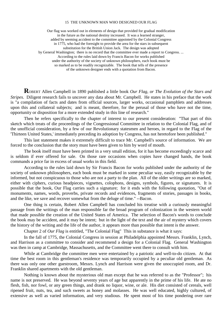#### 15 THE UNKNOWN MAN WHO DESIGNED OUR FLAG

Our flag was worked out in elements of design that provided for gradual modification in the future as the national destiny increased. It was a learned stranger, added by seeming accident to the committee appointed by the Colonial Congress in 1775, who had the foresight to provide the area for the stars in subsequent substitution for the British Union Jack. The design was adopted by General Washington; there is no record that the committee ever made a report to Congress. ... According to the rules laid down by Francis Bacon for works published under the authority of the society of unknown philosophers, each book must be so marked as to be readily recognizable. The book that tells of the presence of the unknown designer ends with a quotation from Bacon.

**R**OBERT Allen Campbell in 1890 published a little book *Our Flag, or The Evolution of the Stars and Stripes*. Diligent research fails to uncover any data about Mr. Campbell. He states in his preface that the work is "a compilation of facts and dates from official sources, larger works, occasional pamphlets and addresses upon this and collateral subjects; and is meant, therefore, for the perusal of those who have not the time, opportunity or disposition for a more extended study in this line of research."

Then he refers specifically to the chapter of interest to our present consideration: "That part of this sketch which treats of die proceedings of the Congressional Committee in relation to the Colonial Flag, and of the unofficial consideration, by a few of our Revolutionary statesmen and heroes, in regard to the Flag of the 'Thirteen United States,' immediately preceding its adoption by Congress, has not heretofore been published."

This last statement makes it extremely difficult to trace Mr. Campbell's source of information. We are forced to the conclusion that the story must have been given to him by word of mouth.

The book itself must have been printed in a very small edition, for it has become exceedingly scarce and is seldom if ever offered for sale. On those rare occasions when copies have changed hands, the book commands a price far in excess of usual works in this field.

According to the rules laid down by Sir Francis Bacon for works published under the authority of the society of unknown philosophers, each book must be marked in some peculiar way, easily recognizable by the informed, but not conspicuous to those who are not a party to the plan. All of the older writings are so marked, either with ciphers, curious headpieces, vignettes, colophons, designs, symbols, figures, or signatures. It is possible that the book, Our Flag carries such a signature; for it ends with the following quotation, "Out of monuments, names, words, proverbs, private records and evidences, fragments of stories, passages in books, and the like, we save and recover somewhat from the deluge of time." --Bacon.

One thing is certain, Robert Allen Campbell has concluded his treatise with a curiously meaningful passage from the writings of the man responsible far the broad program of colonization in the western world that made possible the creation of the United States of America. The selection of Bacon's words to conclude the book may be accident, and it may be intent; but in the light of the text and the air of mystery which covers the history of the writing and the life of the author, it appears more than possible that intent is the answer.

Chapter 2 of *Our Flag* is entitled, "The Colonial Flag" This in substance is what it says:

In the fall of 1775, the Colonial Congress in session at Philadelphia appointed Messrs. Franklin, Lynch, and Harrison as a committee to consider and recommend a design for a Colonial Flag. General Washington was then in camp at Cambridge, Massachusetts, and the Committee went there to consult with him.

While at Cambridge the committee men were entertained by a patriotic and well-to-do citizen. At that time the best room in this gentleman's residence was temporarily occupied by a peculiar old gentleman. As there was only one other guestroom, Messrs. Lynch and Harrison were given the unoccupied room, and Dr. Franklin shared apartments with the old gentleman.

Nothing is known about the mysterious old man except that he was referred to as the "Professor"; his name is not preserved. He was beyond seventy years of age but apparently in the prime of his life. He ate no flesh, fish, nor fowl, or any green things, and drank no liquor, wine, or ale. His diet consisted of cereals, well ripened fruit, nuts, tea, and such sweets as honey and molasses. He was well educated, highly cultured, of extensive as well as varied information, and very studious. He spent most of his time pondering over rare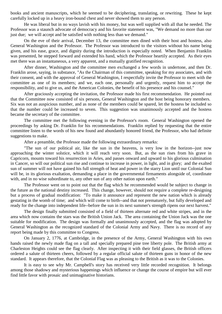books and ancient manuscripts, which he seemed to be deciphering, translating, or rewriting. These he kept carefully locked up in a heavy iron-bound chest and never showed them to any person.

He was liberal but in no ways lavish with his money, but was well supplied with all that he needed. The Professor was a staunch advocate of democracy and his favorite statement was, "We demand no more than our just due; we will accept and be satisfied with nothing less than we demand."

On the eve of their arrival, December 13, the committee men dined with their host and hostess, also General Washington and the Professor. The Professor was introduced to the visitors without his name being given, and his ease, grace, and dignity during the introduction is especially noted. When Benjamin Franklin was presented, he stepped forward and extended his hand, which the Professor heartily accepted. As their eyes met there was an instantaneous, a very apparent, and a mutually gratified recognition.

After dinner, Washington and the committee men exchanged a few words in undertone, and then Dr. Franklin arose, saying, in substance, "As the Chairman of this committee, speaking for my associates, and with their consent, and with the approval of General Washington, I respectfully invite the Professor to meet with the committee as one of its members; and we, each one, personally and urgently, request him to accept the responsibility, and to give us, and the American Colonies, the benefit of his presence and his counsel."

After graciously accepting the invitation, the Professor made his first recommendation. He pointed out that the Committee now consisted of six persons, General Washington and the host being honorary members. Six was not an auspicious number, and as none of the members could be spared, let the hostess be included so that the number could be increased to seven. This suggestion was unanimously accepted and the hostess became the secretary of the committee.

The committee met the following evening in the Professor's room. General Washington opened the proceedings by asking Dr. Franklin for his recommendations. Franklin replied by requesting that the entire committee listen to the words of his new found and abundantly honored friend, the Professor, who had definite suggestions to make.

After a preamble, the Professor made the following extraordinary remarks:

"The sun of our political air, like the sun in the heavens, is very low in the horizon--just now approaching the winter solstice, which it will reach very soon. But, as the sun rises from his grave in Capricorn, mounts toward his resurrection in Aries, and passes onward and upward to his glorious culmination in Cancer, so will our political sun rise and continue to increase in power, in light, and in glory; and the exalted sun of summer will not have gained his full strength of heat and power in the starry Lion until our Colonial Sun will be, in its glorious exaltation, demanding a place in the governmental firmaments alongside of, coordinate with, and in no wise subordinate to, any other sun of any other nation upon earth."

The Professor went on to point out that the flag which he recommended would be subject to change in the future as the national destiny increased. This change, however, should not require a complete re-designing but a process of gradual modification: "To make it announce and represent the new nation which is already gestating in the womb of time; and which will come to birth--and that not prematurely, but fully developed and ready for the change into independent life--before the sun in its next summer's strength ripens our next harvest."

The design finally submitted consisted of a field of thirteen alternate red and white stripes, and in the area which now contains the stars was the British Union Jack. The area containing the Union Jack was the one suitable for modification. The design was formally and unanimously accepted, and the flag was adopted by General Washington as the recognized standard of the Colonial Army and Navy. There is no record of any report being made by this committee to Congress.

On January 2, 1776, at Cambridge, in the presence of the Army, General Washington with his own hands raised the newly made flag on a tall and specially prepared pine tree liberty pole. The British army at Charleston Heights could see the flag clearly. After inspecting it with their field glasses, the British officers ordered a salute of thirteen cheers, followed by a regular official salute of thirteen guns in honor of the new standard. It appears therefore, that the Colonial Flag was as pleasing to the British as it was to the Colonies.

It is easy to see why Mr. Campbell's story has received very little recorded recognition. It belongs among those shadowy and mysterious happenings which influence or change the course of empire but will ever find little favor with prosaic and unimaginative historians.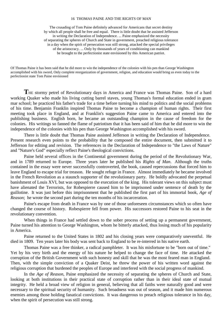#### 16 THOMAS PAINE AND THE RIGHTS OF MAN

The crusading of Tom Paine definitely advanced for Americans that secret destiny by which all people shall be free and equal. There is little doubt that he assisted Jefferson in writing the Declaration of Independence. ... Paine emphasized the necessity of separating the spheres of Church and State in government, preached religious tolerance in a day when the spirit of persecution was still strong, attacked the special privileges of the aristocracy. ... Only by thousands of years of conditioning can mankind be brought to the perfectionist state envisioned by this American patriot.

Of Thomas Paine it has been said that he did more to win the independence of the colonies with his pen than George Washington accomplished with his sword, Only complete reorganization of government, religion, and education would bring us even today to the perfectionist state Tom Paine envisioned

**T**HE stormy petrel of Revolutionary days in America and France was Thomas Paine. Son of a hard working Quaker who made his living cutting barrel staves, young Thomas's formal education ended in gram mar school; he practiced his father's trade for a time before turning his mind to politics and the social problems of his time. Benjamin Franklin inspired Thomas Paine to become a champion of human rights. Their first meeting took place in England, and at Franklin's suggestion Paine came to America and entered into the publishing business. English born, he became an outstanding champion in the cause of freedom for the colonies. His writings so fanned the flame of patriotism that it has been said of him that he did more to win the independence of the colonies with his pen than George Washington accomplished with his sword.

There is little doubt that Thomas Paine assisted Jefferson in writing the Declaration of Independence. Present research even points to the probability that he composed the entire document, then submitted it to Jefferson for editing and revision. The references in the Declaration of Independence to "the Laws of Nature" and "Nature's God" especially reflect Paine's theological convictions.

Paine held several offices in the Continental government during the period of the Revolutionary War, and in 1789 returned to Europe. Three years later he published his *Rights of Man*. Although the truths contained in the essay were never successfully controverted, the book, caused repercussions that forced him to leave England to escape trial for treason. He sought refuge in France. Almost immediately he became involved in the French Revolution as a staunch supporter of the revolutionary party. He boldly advocated the perpetual banishment of Louis XVI, but was opposed to the execution of the king. His tolerant views on this subject must have alienated the Terrorists, for Robespierre caused him to be imprisoned under sentence of death by the guillotine. It was just before this imprisonment that he published the first part of his immortal book, *Age of Reason*; he wrote the second part during the ten months of his incarceration.

Paine's escape from death in France was by one of those unforeseen circumstances which so often have changed the course of history. Robespierre fell from power. His successors restored Paine to his seat in the revolutionary convention.

When things in France had settled down to the sober process of setting up a permanent government, Paine turned his attention to George Washington, whom he bitterly attacked, thus losing much of his popularity in America.

Paine returned to the United States in 1802 and his closing years were comparatively uneventful. He died in 1809. Ten years later his body was sent back to England to be re-interred in his native earth.

Thomas Paine was a free thinker, a radical pamphleter. It was his misfortune to be "born out of time." Yet by his very birth and the energy of his nature he helped to change the face of time. He attacked the corruption of the British Government with such honesty and skill that he was the most feared man in England. Then, with the simple conviction of a Quaker Deist, he threw the power of his written word against the religious corruption that burdened the peoples of Europe and interfered with the social progress of mankind.

In the *Age of Reason*, Paine emphasized the necessity of separating the spheres of Church and State, looking at both institutions in their practical state of corruption rather than in their ideal state of mutual integrity. He held a broad view of religion in general, believing that all faiths were naturally good and were necessary to the spiritual security of humanity. Such broadness was out of season, and it made him numerous enemies among those holding fanatical convictions. It was dangerous to preach religious tolerance in his day, when the spirit of persecution was still strong.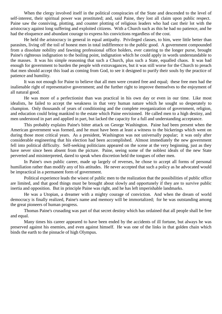When the clergy involved itself in the political conspiracies of the State and descended to the level of self-interest, their spiritual power was prostituted; and, said Paine, they lost all claim upon public respect. Paine saw the conniving, plotting, and counter plotting of religious leaders who had cast their lot with the aristocracy against long suffering and exploited citizens. With a Church such as this he had no patience, and he had the eloquence and abundant courage to express his convictions regardless of the cost.

He held the aristocracy in general in equal antipathy. Privileged classes, to him, were little better than parasites, living off the toil of honest men in total indifference to the public good. A government compounded from a dissolute nobility and fawning professional office holders, ever catering to the longer purse, brought Paine's righteous indignation to the boiling point, indignation which he could apply in words understandable to the masses. It was his simple reasoning that such a Church, plus such a State, equalled chaos. It was bad enough for government to burden the people with extravagances, but it was still worse for the Church to preach that men should accept this load as coming from God, to see it designed to purify their souls by the practice of patience and humility.

It was not enough for Paine to believe that all men were created free and equal; these free men had the inalienable right of representative government; and the further right to improve themselves to the enjoyment of all natural good.

He was more of a perfectionist than was practical in his own day or even in our time. Like most idealists, he failed to accept the weakness in that very human nature which he sought so desperately to champion. Only thousands of years of conditioning and the complete reorganization of government, religion, and education could bring mankind to the estate which Paine envisioned. He called men to a high destiny, and men understood in part and applied in part, but lacked the capacity for a full and understanding acceptance.

This probably explains Paine's bitter attack on George Washington. Paine had been present when the American government was formed, and he must have been at least a witness to the bickerings which went on during those most critical years. As a president, Washington was not universally popular; it was only after considerable engineering that his election had been accomplished. Almost immediately the new government fell into political difficulty. Self-seeking politicians appeared on the scene at the very beginning, just as they have never since been absent from the picture. Paine, seeing some of the noblest ideals of the new State perverted and misinterpreted, dared to speak when discretion held the tongues of other men.

In Paine's own public career, made up largely of reverses, he chose to accept all forms of personal humiliation rather than modify any of his attitudes. He never accepted that such a policy as he advocated would be impractical in a permanent form of government.

Political experience leads the wisest of public men to the realization that the possibilities of public office are limited, and that good things must be brought about slowly and opportunely if they are to survive public inertia and opposition. But in principle Paine was right, and he has left imperishable landmarks.

He was a Utopian, a dreamer with a mighty courage of conviction. And when the dream of world democracy is finally realized, Paine's name and memory will be immortalized; for he was outstanding among the great pioneers of human progress.

Thomas Paine's crusading was part of that secret destiny which has ordained that all people shall be free and equal.

Many times his career appeared to have been ended by the accidents of ill fortune, but always he was preserved against his enemies, and even against himself. He was one of the links in that golden chain which binds the earth to the pinnacle of high Olympus.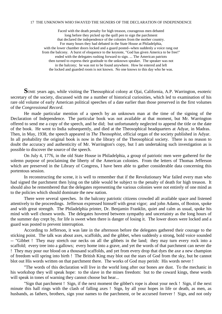#### 17 THE UNKNOWN WHO SWAYED THE SIGNERS OF THE DECLARATION OF INDEPENDENCE

Faced with the death penalty for high treason, courageous men debated long before they picked up the quill pen to sign the parchment that declared the independence of the colonies from the mother country. For many hours they had debated in the State House at Philadelphia, with the lower chamber doors locked and a guard posted--when suddenly a voice rang out from the balcony. A burst of eloquence to the keynote, "God has given America to be free!" ended with the delegates rushing forward to sign. ... The American patriots then turned to express their gratitude to the unknown speaker. The speaker was not in the balcony; he was not to be found anywhere. How he entered and left the locked and guarded room is not known. No one knows to this day who he was.

**S**OME years ago, while visiting the Theosophical colony at Ojai, California, A.P. Warrington, esoteric secretary of the society, discussed with me a number of historical curiosities, which led to examination of his rare old volume of early American political speeches of a date earlier than those preserved in the first volumes of the *Congressional Record*.

He made particular mention of a speech by an unknown man at the time of the signing of the Declaration of Independence. The particular book was not available at that moment, but Mr. Warrington offered to send me a copy of the speech, and he did; but unfortunately neglected to append the title or the date of the book. He went to India subsequently, and died at the Theosophical headquarters at Adyar, in Madras. Then, in May, 1938, the speech appeared in *The Theosophist*, official organ of the society published in Adyar. In all probability the original book is now in the library of the Theosophical society. There is no reason to doubt the accuracy and authenticity of Mr. Warrington's copy, but I am undertaking such investigation as is possible to discover the source of the speech.

On July 4, 1776, in the old State House in Philadelphia, a group of patriotic men were gathered for the solemn purpose of proclaiming the liberty of the American colonies. From the letters of Thomas Jefferson which are preserved in the Library of Congress, I have been able to gather considerable data concerning this portentous session.

In reconstructing the scene, it is well to remember that if the Revolutionary War failed every man who had signed the parchment then lying on the table would be subject to the penalty of death for high treason. It should also be remembered that the delegates representing the various colonies were not entirely of one mind as to the policies which should dominate the new nation.

There were several speeches. In the balcony patriotic citizens crowded all available space and listened attentively to the proceedings. Jefferson expressed himself with great vigor; and john Adams, of Boston, spoke and with great strength. The Philadelphia printer, Dr. Benjamin Franklin, quiet and calm as usual, spoke his mind with well chosen words. The delegates hovered between sympathy and uncertainty as the long hours of the summer day crept by, for life is sweet when there is danger of losing it. The lower doors were locked and a guard was posted to prevent interruption.

According to Jefferson, it was late in the afternoon before the delegates gathered their courage to the sticking point. The talk was about axes, scaffolds, and the gibbet, when suddenly a strong, bold voice sounded -- "Gibbet ! They may stretch our necks on all the gibbets in the land; they may turn every rock into a scaffold; every tree into a gallows; every home into a grave, and yet the words of that parchment can never die ! They may pour our blood on a thousand scaffolds, and yet from every drop that dyes the axe a new champion of freedom will spring into birth ! The British King may blot out the stars of God from the sky, but he cannot blot out His words written on that parchment there. The works of God may perish: His words never !

"The words of this declaration will live in the world long after our bones are dust. To the mechanic in his workshop they will speak hope: to the slave in the mines freedom: but to the coward kings, these words will speak in tones of warning they cannot choose but hear...

"Sign that parchment ! Sign, if the next moment the gibbet's rope is about your neck ! Sign, if the next minute this hall rings with the clash of falling axes ! Sign, by all your hopes in life or death, as men, as husbands, as fathers, brothers, sign your names to the parchment, or be accursed forever ! Sign, and not only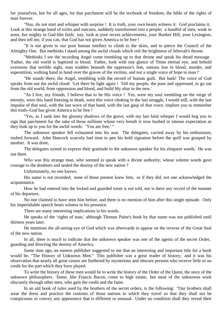for yourselves, but for all ages, for that parchment will be the textbook of freedom, the bible of the rights of man forever.

"Nay, do not start and whisper with surprise ! It is truth, your own hearts witness it: God proclaims it. Look at this strange band of exiles and outcasts, suddenly transformed into a people; a handful of men, weak in arms, but mighty in God-like faith; nay, look at your recent achievements, your Bunker Hill, your Lexington, and then tell me, if you can, that God has not given America to be free !

"It is not given to our poor human intellect to climb to the skies, and to pierce the Council of the Almighty One. But methinks I stand among the awful clouds which veil the brightness of Jehovah's throne.

"Methinks I see the recording Angel come trembling up to that throne and speak his dread message. 'Father, the old world is baptized in blood. Father, look with one glance of Thine eternal eye, and behold evermore that terrible sight, man trodden beneath the oppressor's feet, nations lost in blood, murder, and superstition, walking hand in hand over the graves of the victims, and not a single voice of hope to man !'

"He stands there, the Angel, trembling with the record of human guilt. But hark! The voice of God speaks from out the awful cloud: 'Let there be light again ! Tell my people, the poor and oppressed, to go out from the old world, from oppression and blood, and build My altar in the new.'

"As I live, my friends, I believe that to be His voice ! Yes, were my soul trembling on the verge of eternity, were this hand freezing in death, were this voice choking in the last struggle, I would still, with the last impulse of that soul, with the last wave of that hand, with the last gasp of that voice, implore you to remember this truth--God has given America to be free !

"Yes, as I sank into the gloomy shadows of the grave, with my last faint whisper I would beg you to sign that parchment for the sake of those millions whose very breath is now hushed in intense expectation as they look up to you for the awful words: 'You are free.' "

The unknown speaker fell exhausted into his seat. The delegates, carried away by his enthusiasm, rushed forward. John Hancock scarcely had time to pen his bold signature before the quill was grasped by another. It was done.

The delegates turned to express their gratitude to the unknown speaker for his eloquent words. He was not there.

Who was this strange man, who seemed to speak with a divine authority, whose solemn words gave courage to the doubters and sealed the destiny of the new nation ?

Unfortunately, no one knows.

His name is not recorded; none of those present knew him; or if they did, not one acknowledged the acquaintance.

How he had entered into the locked and guarded room is not told, nor is there any record of the manner of his departure.

No one claimed to have seen him before, and there is no mention of him after this single episode. Only his imperishable speech bears witness to his presence.

There are many interesting implications in his words.

He speaks of the 'rights of man,' although Thomas Paine's book by that name was not published until thirteen years later.

He mentions the all-seeing eye of God which was afterwards to appear on the reverse of the Great Seal of the new nation.

In all, there is much to indicate that the unknown speaker was one of the agents of the secret Order, guarding and directing the destiny of America.

Some time ago, an eastern publisher suggested to me that an interesting and important title for a book would be, "The History of Unknown Men." This publisher was a great reader of history; and it was his observation that nearly all great causes are furthered by mysterious and obscure persons who receive little or no credit for the part which they have played.

To write the history of these men would be to write the history of the Order of the Quest, the story of the unknown philosophers. Some, like Francis Bacon, come to high estate; but most of the unknowns work obscurely through other men, who gain the credit and the fame.

In an old book of rules used by the brothers of the secret orders, is the following: "Our brothers shall wear the dress and practice the customs of those nations to which they travel so that they shall not be conspicuous or convey any appearance that is different or unusual. Under no condition shall they reveal their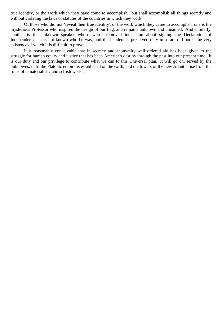true identity, or the work which they have come to accomplish; but shall accomplish all things secretly and without violating the laws or statutes of the countries in which they work."

Of those who did not 'reveal their true identity', or the work which they came to accomplish, one is the mysterious Professor who inspired the design of our flag, and remains unknown and unnamed. And similarly, another is the unknown speaker whose words removed indecision about signing the Declaration of Independence; it is not known who he was, and the incident is preserved only in a rare old book, the very existence of which it is difficult to prove.

It is reasonably conceivable that in secrecy and anonymity well ordered aid has been given to the struggle for human equity and justice that has been America's destiny through the past into our present time. It is our duty and our privilege to contribute what we can to this Universal plan. It will go on, served by the unknowns, until the Platonic empire is established on the earth, and the towers of the new Atlantis rise from the ruins of a materialistic and selfish world.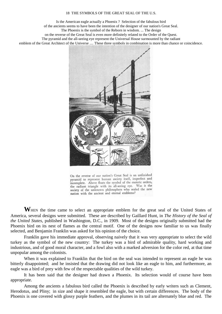#### 18 THE SYMBOLS OF THE GREAT SEAL OF THE U.S.

Is the American eagle actually a Phoenix ? Selection of the fabulous bird

of the ancients seems to have been the intention of the designer of our nation's Great Seal.

The Phoenix is the symbol of the Reborn in wisdom. ... The design

on the reverse of the Great Seal is even more definitely related to the Order of the Quest.

The pyramid and the all-seeing eye represent the Universal House surmounted by the radiant

emblem of the Great Architect of the Universe .... These three symbols in combination is more than chance or coincidence.



On the reverse of our nation's Great Seal is an unfinished pyramid to represent human society itself, imperfect and incomplete. Above floats the symbol of the esoteric orders, the radiant triangle with its all-seeing eye. Was it the society of the unknown philosophers who sealed the new nation with the ancient and eternal emblems?

WHEN the time came to select an appropriate emblem for the great seal of the United States of America, several designs were submitted. These are described by Gaillard Hunt, in *The History of the Seal of the United States*, published in Washington, D.C., in 1909. Most of the designs originally submitted had the Phoenix bird on its nest of flames as the central motif. One of the designs now familiar to us was finally selected, and Benjamin Franklin was asked for his opinion of the choice.

Franklin gave his immediate approval, observing naively that it was very appropriate to select the wild turkey as the symbol of the new country: The turkey was a bird of admirable quality, hard working and industrious, and of good moral character, and a fowl also with a marked adversion for the color red, at that time unpopular among the colonists.

When it was explained to Franklin that the bird on the seal was intended to represent an eagle he was bitterly disappointed; and he insisted that the drawing did not look like an eagle to him, and furthermore, an eagle was a bird of prey with few of the respectable qualities of the wild turkey.

It has been said that the designer had drawn a Phoenix. Its selection would of course have been appropriate.

Among the ancients a fabulous bird called the Phoenix is described by early writers such as Clement, Herodotus, and Pliny; in size and shape it resembled the eagle, but with certain differences. The body of the Phoenix is one covered with glossy purple feathers, and the plumes in its tail are alternately blue and red. The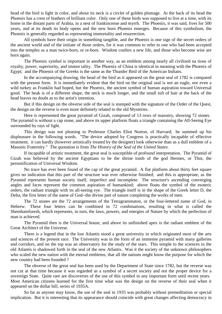head of the bird is light in color, and about its neck is a circlet of golden plumage. At the back of its head the Phoenix has a crest of feathers of brilliant color. Only one of these birds was supposed to live at a time, with its home in the distant parts of Arabia, in a nest of frankincense and myrrh. The Phoenix, it was said, lives for 500 years, and at its death its body opens and the new born Phoenix emerges. Because of this symbolism, the Phoenix is generally regarded as representing immortality and resurrection.

All symbols have their origin in something tangible, and the Phoenix is one sign of the secret orders of the ancient world and of the initiate of those orders, for it was common to refer to one who had been accepted into the temples as a man twice-born, or re-born. Wisdom confers a new life, and those who become wise are born again.

The Phoenix symbol is important in another way, as an emblem among nearly all civilized na tions of royalty, power, superiority, and immor tality. The Phoenix of China is identical in meaning with the Phoenix of Egypt; and the Phoenix of the Greeks is the same as the Thunder Bird of the American Indians.

In the accompanying drawing, the head of the bird as it appeared on the great seal of 1782 is compared with the present form. It is immediately evident that the bird on the original seal is not an eagle, nor even a wild turkey as Franklin had hoped, but the Phoenix, the ancient symbol of human aspiration toward Universal good. The beak is of a different shape, the neck is much longer, and the small tuft of hair at the back of the head leaves no doubt as to the artist's intention.

But if this design on the obverse side of the seal is stamped with the signature of the Order of the Quest, the design on the reverse is even more definitely related to the old Mysteries.

Here is represented the great pyramid of Gizah, composed of 13 rows of masonry, showing 72 stones. The pyramid is without a cap stone, and above its upper platform floats a triangle containing the All-Seeing Eye surrounded by rays of light.

This design was not pleasing to Professor Charles Eliot Norton, of Harvard; he summed up his displeasure in the following words. "The device adopted by Congress is practically incapable of effective treatment; it can hardly (however artistically treated by the designer) look otherwise than as a dull emblem of a Masonic Fraternity." The quotation is from *The History of the Seal of the United States*.

If incapable of artistic treatment, the great seal is susceptible of profound interpretation. The Pyramid of Gizah was believed by the ancient Egyptians to be the shrine tomb of the god Hermes, or Thot, the personification of Universal Wisdom.

No trace has ever been found of the cap of the great pyramid. A flat platform about thirty feet square gives no indication that this part of the structure was ever otherwise finished; and this is appropriate, as the Pyramid represents human society itself, imperfect and incomplete. The structure's ascending converging angles and faces represent the common aspiration of humankind; above floats the symbol of the esoteric orders, the radiant triangle with its all-seeing eye. The triangle itself is in the shape of the Greek letter D, the Delta, the first letter of the name of God--the divine part of nature completing the works of men.

The 72 stones are the 72 arrangements of the Tetragrammaton, or the four-lettered name of God, in Hebrew. These four letters can be combined in 72 combinations, resulting in what is called the Shemhamforesh, which represents, in turn, the laws, powers, and energies of Nature by which the perfection of man is achieved.

The Pyramid then is the Universal house, and above its unfinished apex is the radiant emblem of the Great Architect of the Universe.

There is a legend that in the lost Atlantis stood a great university in which originated most of the arts and sciences of the present race. The University was in the form of an immense pyramid with many galleries and corridors, and on the top was an observatory for the study of the stars. This temple to the sciences in the old Atlantis is shadowed forth in the seal of the new Atlantis. Was it the society of the unknown philosophers who scaled the new nation with the eternal emblems, that all the nations might know the purpose for which the new country had been founded ?

The obverse of the great seal has been used by the Department of State since 1782, but the reverse was not cut at that time because it was regarded as a symbol of a secret society and not the proper device for a sovereign State. Quite rare are discoveries of the use of this symbol in any important form until recent years. Most American citizens learned for the first time what was the design on the reverse of their seal when it appeared on the dollar bill, series of 1935A.

So far as anyone may know, the use of the seal in 1935 was probably without premeditation or special implication. But it is interesting that its appearance should coincide with great changes affecting democracy in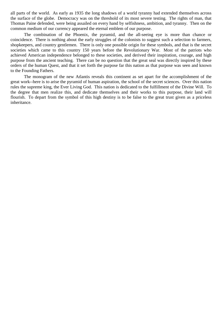all parts of the world. As early as 1935 the long shadows of a world tyranny had extended themselves across the surface of the globe. Democracy was on the threshold of its most severe testing. The rights of man, that Thomas Paine defended, were being assailed on every hand by selfishness, ambition, and tyranny. Then on the common medium of our currency appeared the eternal emblem of our purpose.

The combination of the Phoenix, the pyramid, and the all-seeing eye is more than chance or coincidence. There is nothing about the early struggles of the colonists to suggest such a selection to farmers, shopkeepers, and country gentlemen. There is only one possible origin for these symbols, and that is the secret societies which came to this country 150 years before the Revolutionary War. Most of the patriots who achieved American independence belonged to these societies, and derived their inspiration, courage, and high purpose from the ancient teaching. There can be no question that the great seal was directly inspired by these orders of the human Quest, and that it set forth the purpose far this nation as that purpose was seen and known to the Founding Fathers.

The monogram of the new Atlantis reveals this continent as set apart for the accomplishment of the great work--here is to arise the pyramid of human aspiration, the school of the secret sciences. Over this nation rules the supreme king, the Ever Living God. This nation is dedicated to the fulfillment of the Divine Will. To the degree that men realize this, and dedicate themselves and their works to this purpose, their land will flourish. To depart from the symbol of this high destiny is to be false to the great trust given as a priceless inheritance.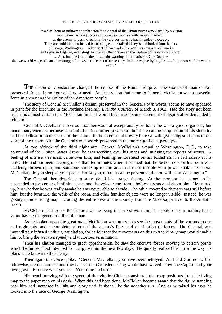# 19 THE PROPHETIC DREAM OF GENERAL MC CLELLAN

In a dark hour of military apprehension the General of the Union forces was visited by a vision

in a dream. A voice spoke and a map came alive with troop movements

as the enemy forces moved into the very positions he had intended to occupy.

The voice told him that he had been betrayed; he raised his eyes and looked into the face

of George Washington ... When McClellan awoke his map was covered with marks

and signs and figures, indicating the strategy that prevented the capture of the nation's Capitol.

... Also included in the dream was the warning of the Father of Our Country

that we would wage still another struggle for existence "ere another century shall have gone by" against the "oppressors of the whole earth."

THE vision of Constantine changed the course of the Roman Empire. The visions of Joan of Arc preserved France in an hour of darkest need. And the vision that came to General McClellan was a powerful force in preserving the Union of the American people.

The story of General McClellan's dream, preserved in the General's own words, seems to have appeared in print for the first time in the Portland (Maine), *Evening Courier*, of March 8, 1862. Had the story not been true, it is almost certain that McClellan himself would have made some statement of disproval or demanded a retraction.

General McClellan's career as a soldier was not exceptionally brilliant; he was a good organizer, but made many enemies because of certain fixations of temperament; but there can be no question of his sincerity and his dedication to the cause of the Union. In the interests of brevity here we will give a digest of parts of the story of the dream, with the General's own words preserved in the more significant passages.

At two o'clock of the third night after General McClellan's arrival at Washington, D.C., to take command of the United States Army, he was working over his maps and studying the reports of scouts. A feeling of intense weariness came over him, and leaning his forehead on his folded arm he fell asleep at his table. He had not been sleeping more than ten minutes when it seemed that the locked door of his room was suddenly thrown open, and someone strode up to him and in a voice terrible with power spoke: "General McClellan, do you sleep at your post ? Rouse you, or ere it can be prevented, the foe will be in Washington."

The General then describes in some detail his strange feeling. At the moment he seemed to be suspended in the center of infinite space, and the voice came from a hollow distance all about him. He started up, but whether he was really awake he was never able to decide. The table covered with maps was still before him, but the furniture, the walls of the room, and other familiar objects were no longer visible. Instead, he was gazing upon a living map including the entire area of the country from the Mississippi river to the Atlantic ocean.

McClellan tried to see the features of the being that stood with him, but could discern nothing but a vapor having the general outline of a man.

As he looked upon the great map, McClellan was amazed to see the movements of the various troops and regiments, and a complete pattern of the enemy's lines and distribution of forces. The General was immediately infused with a great elation, for he felt that the movements on this extraordinary map would enable him to bring the war to a speedy and victorious termination.

Then his elation changed to great apprehension, he saw the enemy's forces moving to certain points which he himself had intended to occupy within the next few days. He quietly realized that in some way his plans were known to the enemy.

Then again the voice spoke. "General McClellan, you have been betrayed. And had God not willed otherwise, ere the sun of tomorrow had set the Confederate flag would have waved above the Capitol and your own grave. But note what you see. Your time is short."

His pencil moving with the speed of thought, McClellan transferred the troop positions from the living map to the paper map on his desk. When this had been done, McClellan became aware that the figure standing near him had increased in light and glory until it shone like the noonday sun. And as he raised his eyes he looked into the face of George Washington.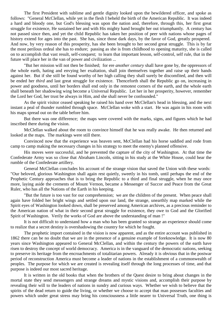The first President with sublime and gentle dignity looked upon the bewildered officer, and spoke as follows: "General McClellan, while yet in the flesh I beheld the birth of the American Republic. It was indeed a hard and bloody one, but God's blessing was upon the nation and, therefore, through this, her first great struggle for existence, He sustained her and with His mighty hand brought her out triumphantly. A century has not passed since then, and yet the child Republic has taken her position of peer with nations whose pages of history extend for ages into the past. She has, since those dark days, by the favor of God, greatly prospered. And now, by very reason of this prosperity, has she been brought to her second great struggle. This is by far the most perilous ordeal she has to endure; passing as she is from childhood to opening maturity, she is called on to accomplish that vast result, self-conquest; to learn that important lesson, self-control, self rule, that in the future will place her in the van of power and civilization ...

"But her mission will not then be finished; for ere *another century* shall have gone by, the oppressors of the whole earth, hating and envying her exaltation, shall join themselves together and raise up their hands against her. But if she still be found worthy of her high calling they shall surely be discomfited, and then will be ended her *third* and last great struggle for existence. Thenceforth shall the Republic go on, increasing in power and goodness, until her borders shall end only in the remotest corners of the earth, and the whole earth shall beneath her shadowing wing become a Universal Republic. Let her in her prosperity, however, remember the Lord her God, her trust be always in Him, and she shall never be confounded."

As the spirit visitor ceased speaking he raised his hand over McClellan's head in blessing, and the next instant a peal of thunder rumbled through space. McClellan woke with a start. He was again in his room with his maps spread out on the table before him.

But there was one difference; the maps were covered with the marks, signs, and figures which he had inscribed there during the vision.

McClellan walked about the room to convince himself that he was really awake. He then returned and looked at the maps. The markings were still there.

Convinced now that the experience was heaven sent, McClellan had his horse saddled and rode from camp to camp making the necessary changes in his strategy to meet the enemy's planned offensive.

His moves were successful, and he prevented the capture of the city of Washington. At that time the Confederate Army was so close that Abraham Lincoln, sitting in his study at the White House, could hear the rumble of the Confederate artillery.

General McClellan concludes his account of the strange vision that saved the Union with these words: "Our beloved, glorious Washington shall again rest quietly, sweetly in his tomb, until perhaps the end of the Prophetic Century approaches that is to bring the Republic to a third and final struggle, when he may once more, laying aside the crements of Mount Vernon, became a Messenger of Succor and Peace from the Great Ruler, who has all the Nations of the Earth in his keeping.

"But the future is too vast for our comprehension; we are the children of the present. When peace shall again have folded her bright wings and settled upon our land, the strange, unearthly map marked while the Spirit eyes of Washington looked down, shall be preserved among American archives, as a precious reminder to the American nation of what in their second great struggle for existence, they owe to God and the Glorified Spirit of Washington. Verily the works of God are above the understanding of man !"

It is not difficult to understand how a man who has been granted so strange an experience should come to realize that a secret destiny is overshadowing the country for which he fought.

The prophetic import contained in the vision is now apparent, and as the entire account was published in 1862 there can be no doubt that we are in the presence of a genuine example of foreknowledge. It is now 80 years since Washington appeared to General McClellan, and within the century the powers of the earth have risen to destroy the concept of world democracy. America is in the vanguard of the democratic nations, seeking to preserve its heritage from the encroachments of totalitarian powers. Already it is obvious that in the postwar period of reconstruction America must become a leader of nations in the establishment of a commonwealth of peoples. The purpose for which we are created is revealing itself through the long processes of time, and that purpose is indeed our most sacred heritage.

It is written in the old books that when the brothers of the Quest desire to bring about changes in the mortal state they send messengers and strange dreams and mystic visions and, accomplish their purpose by revealing their will to the leaders of nations in sundry and curious ways. Whether we wish to believe that the spirits of the dead return to guide the living, or whether we choose to accept that man possesses faculties and powers which under great stress may bring his consciousness a little nearer to Universal Truth, one thing is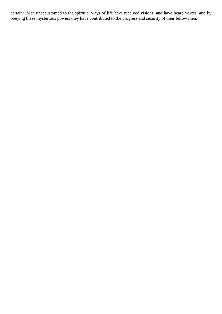certain: Men unaccustomed to the spiritual ways of life have received visions, and have heard voices, and by obeying these mysterious powers they have contributed to the progress and security of their fellow men.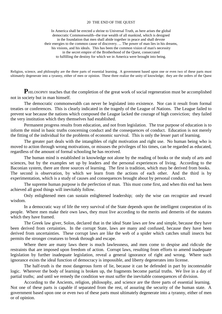#### 20 THE END OF THE QUEST

In America shall be erected a shrine to Universal Truth, as here arises the global democratic Commonwealth--the true wealth of all mankind, which is designed in the foundation that men shall abide together in peace and shall devote their energies to the common cause of discovery. ... The power of man lies in his dreams, his visions, and his ideals. This has been the common vision of man's necessity in the secret empire of the Brotherhood of the Quest, consecrated to fulfilling the destiny for which we in America were brought into being.

Religion, science, and philosophy are the three parts of essential learning. A government based upon one or even two of these parts must ultimately degenerate into a tyranny, either of men or opinion. These three realize the unity of knowledge; they are the orders of the Quest

PHILOSOPHY teaches that the completion of the great work of social regeneration must be accomplished not in society but in man himself.

The democratic commonwealth can never be legislated into existence. Nor can it result from formal treaties or conferences. This is clearly indicated in the tragedy of the League of Nations. The League failed to prevent war because the nations which composed the League lacked the courage of high conviction; they failed the very institution which they themselves had established.

Permanent progress results from education, and not from legislation. The true purpose of education is to inform the mind in basic truths concerning conduct and the consequences of conduct. Education is not merely the fitting of the individual for the problems of economic survival. This is only the lesser part of learning.

The greater part deals with the intangibles of right motivation and right use. No human being who is moved to action through wrong motivations, or misuses the privileges of his times, can be regarded as educated, regardless of the amount of formal schooling he has received.

The human mind is established in knowledge not alone by the reading of books or the study of arts and sciences, but by the examples set up by leaders and the personal experiences of living. According to the Baconian system, there are three sources of learning. The first is tradition, which may be derived from books. The second is observation, by which we learn from the actions of each other. And the third is by experimentation, which is a study of causes and consequences brought about by personal conduct.

The supreme human purpose is the perfection of man. This must come first, and when this end has been achieved all good things will inevitably follow.

Only enlightened men can sustain enlightened leadership; only the wise can recognize and reward wisdom.

In a democratic way of life the very survival of the State depends upon the intelligent cooperation of its people. Where men make their own laws, they must live according to the merits and demerits of the statutes which they have framed.

The Greek law giver, Solon, declared that in the ideal State laws are few and simple, because they have been derived from certainties. In the corrupt State, laws are many and confused, because they have been derived from uncertainties. These corrupt laws are like the web of a spider which catches small insects but permits the stronger creatures to break through and escape.

Where there are many laws there is much lawlessness, and men come to despise and ridicule the restraints that are imposed upon freedom of action. Corrupt laws, resulting from efforts to amend inadequate legislation by further inadequate legislation, reveal a general ignorance of right and wrong. Where such ignorance exists the ideal function of democracy is impossible, and liberty degenerates into license.

The half-truth is the most dangerous form of lie, because it can be defended in part by incontestable logic. Wherever the body of learning is broken up, the fragments become partial truths. We live in a day of partial truths; and until we remedy the condition we must suffer the inevitable consequences of division.

According to the Ancients, religion, philosophy, and science are the three parts of essential learning. Not one of these parts is capable if separated from the rest, of assuring the security of the human state. A government based upon one or even two of these parts must ultimately degenerate into a tyranny, either of men or of opinion.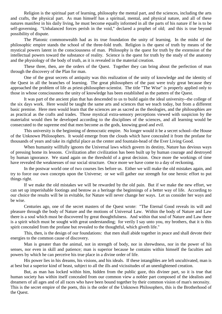Religion is the spiritual part of learning, philosophy the mental part, and the sciences, including the arts and crafts, the physical part. As man himself has a spiritual, mental, and physical nature, and all of these natures manifest in his daily living, he must become equally informed in all the parts of his nature if he is to be self-governing. "Unbalanced forces perish in the void," declared a prophet of old; and this is true beyond possibility of dispute.

The Platonic commonwealth had as its true foundation the unity of learning. In the midst of the philosophic empire stands the school of the three-fold truth. Religion is the quest of truth by means of the mystical powers latent in the consciousness of man. Philosophy is the quest for truth by the extension of the intellectual powers toward the substance of reality. Science is the quest for truth by the study of the anatomy and the physiology of the body of truth, as it is revealed in the material creation.

These three, then, are the orders of the Quest. Together they can bring about the perfection of man through the discovery of the Plan for man.

One of the great secrets of antiquity was this realization of the unity of knowledge and the identity of the Quest in all the branches of learning. The great philosophers of the past were truly great because they approached the problem of life as priest-philosopher-scientist. The title "The Wise" is properly applied only to those in whose consciousness the unity of knowledge has been established as the pattern of the Quest.

It was part of the ancient plan that has descended to us to build again the ideal university--the college of the six days work. Here would be taught the same arts and sciences that we teach today, but from a different basic premise. Here men would learn that the sciences are as sacred as the theologies, and the philosophies are as practical as the crafts and trades. Those mystical extra-sensory perceptions viewed with suspicion by the materialist would then be developed according to the disciplines of the sciences, and all learning would be consecrated to the supreme end that men become as the gods, knowing good and evil.

This university is the beginning of democratic empire. No longer would it be a secret school--the House of the Unknown Philosophers. It would emerge from the clouds which have concealed it from the profane for thousands of years and take its rightful place as the center and fountain-head of the Ever Living Good.

When humanity willfully ignores the Universal laws which govern its destiny, Nature has devious ways of pressing home its lessons. Civilization after civilization has been built up by human courage and destroyed by human ignorance. We stand again on the threshold of a great decision. Once more the workings of time have revealed the weaknesses of our social structure. Once more we have come to a day of reckoning.

In the postwar world one of two courses lies before us. Either we will make the old mistakes again, and try to force our own concepts upon the Universe; or we will gather our strength for one heroic effort to put things right.

If we make the old mistakes we will be rewarded by the old pain. But if we make the new effort, we can set up imperishable footings and bestow as a heritage the beginnings of a better way of life. According to our choice the results will be in evitable, for Nature will never change her ways. Let us consider her ways and be wise.

Centuries ago, one of the secret masters of the Quest wrote: "The Eternal Good reveals its will and pleasure through the body of Nature and the motions of Universal Law. Within the body of Nature and Law there is a soul which must be discovered by great thoughtfulness. And within that soul of Nature and Law there is a spirit which must be sought with great understanding; for verily I say unto you, my brothers, that it is this spirit concealed from the profane but revealed to the thoughtful, which giveth life."

This, then, is the design of our foundations: that men shall abide together in peace and shall devote their energies to the common cause of discovery.

Man is greater than the animal, not in strength of body, nor in shrewdness, nor in the power of his senses, nor even in skill and patience; man is superior because he contains within himself the faculties and powers by which he can perceive his true place in a divine order of life.

His power lies in his dreams, his visions, and his ideals. If these intangibles are left uncultivated, man is at best but a superior kind of beast, subject to all the ills and vicissitudes of an unenlightened creation.

But, as man has locked within him, hidden from the public gaze, this diviner part, so it is true that human society has within itself concealed from our common view a nobler part composed of the idealists and dreamers of all ages and of all races who have been bound together by their common vision of man's necessity. This is the secret empire of the poets, this is the order of the Unknown Philosophers, this is the Brotherhood of the Quest.